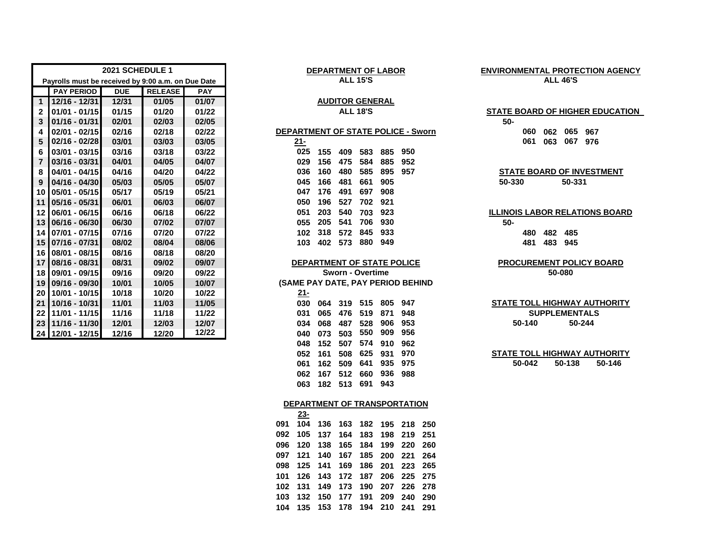| 2021 SCHEDULE 1 |                                                    |            |                |            | <b>DEPARTMENT OF LABOR</b>             | <b>ENVIRONMENTAL PROTECTIO</b>  |  |  |  |
|-----------------|----------------------------------------------------|------------|----------------|------------|----------------------------------------|---------------------------------|--|--|--|
|                 | Payrolls must be received by 9:00 a.m. on Due Date |            |                |            | <b>ALL 15'S</b>                        | <b>ALL 46'S</b>                 |  |  |  |
|                 | <b>PAY PERIOD</b>                                  | <b>DUE</b> | <b>RELEASE</b> | <b>PAY</b> |                                        |                                 |  |  |  |
| $\mathbf{1}$    | $12/16 - 12/31$                                    | 12/31      | 01/05          | 01/07      | <b>AUDITOR GENERAL</b>                 |                                 |  |  |  |
| $\mathbf{2}$    | $01/01 - 01/15$                                    | 01/15      | 01/20          | 01/22      | <b>ALL 18'S</b>                        | <b>STATE BOARD OF HIGHER E</b>  |  |  |  |
| 3               | $01/16 - 01/31$                                    | 02/01      | 02/03          | 02/05      |                                        | $50 -$                          |  |  |  |
| 4               | $02/01 - 02/15$                                    | 02/16      | 02/18          | 02/22      | DEPARTMENT OF STATE POLICE - Sworn     | 065 967<br>060<br>062           |  |  |  |
| 5               | $02/16 - 02/28$                                    | 03/01      | 03/03          | 03/05      | $21 -$                                 | 067<br>061<br>063<br>976        |  |  |  |
| 6               | 03/01 - 03/15                                      | 03/16      | 03/18          | 03/22      | 025<br>950<br>885<br>155<br>409<br>583 |                                 |  |  |  |
|                 | 03/16 - 03/31                                      | 04/01      | 04/05          | 04/07      | 029<br>156<br>475<br>584<br>885<br>952 |                                 |  |  |  |
| 8               | 04/01 - 04/15                                      | 04/16      | 04/20          | 04/22      | 036<br>480<br>585<br>895<br>957<br>160 | <b>STATE BOARD OF INVEST</b>    |  |  |  |
| 9               | $04/16 - 04/30$                                    | 05/03      | 05/05          | 05/07      | 045<br>481<br>661<br>905<br>166        | 50-330<br>50-331                |  |  |  |
|                 | 10 05/01 - 05/15                                   | 05/17      | 05/19          | 05/21      | 047<br>176<br>697<br>908<br>491        |                                 |  |  |  |
| 11              | $05/16 - 05/31$                                    | 06/01      | 06/03          | 06/07      | 050<br>196<br>527<br>702<br>921        |                                 |  |  |  |
|                 | 12 06/01 - 06/15                                   | 06/16      | 06/18          | 06/22      | 051<br>203<br>540<br>923<br>703        | <b>ILLINOIS LABOR RELATIONS</b> |  |  |  |
|                 | 13 06/16 - 06/30                                   | 06/30      | 07/02          | 07/07      | 541<br>706<br>055<br>205<br>930        | $50 -$                          |  |  |  |
| 14              | 07/01 - 07/15                                      | 07/16      | 07/20          | 07/22      | 318<br>845<br>933<br>102<br>572        | 482<br>485<br>480               |  |  |  |
|                 | 15 07/16 - 07/31                                   | 08/02      | 08/04          | 08/06      | 880<br>103<br>949<br>402<br>573        | 483<br>481<br>945               |  |  |  |
|                 | 16 08/01 - 08/15                                   | 08/16      | 08/18          | 08/20      |                                        |                                 |  |  |  |
| 17 <sup>1</sup> | 08/16 - 08/31                                      | 08/31      | 09/02          | 09/07      | DEPARTMENT OF STATE POLICE             | <b>PROCUREMENT POLICY E</b>     |  |  |  |
|                 | 18 09/01 - 09/15                                   | 09/16      | 09/20          | 09/22      | <b>Sworn - Overtime</b>                | 50-080                          |  |  |  |
|                 | 19 09/16 - 09/30                                   | 10/01      | 10/05          | 10/07      | (SAME PAY DATE, PAY PERIOD BEHIND      |                                 |  |  |  |
| 20 <sub>l</sub> | 10/01 - 10/15                                      | 10/18      | 10/20          | 10/22      | $21 -$                                 |                                 |  |  |  |
| 21              | 10/16 - 10/31                                      | 11/01      | 11/03          | 11/05      | 515<br>947<br>805<br>030<br>319<br>064 | <b>STATE TOLL HIGHWAY AUT</b>   |  |  |  |
| 22              | 11/01 - 11/15                                      | 11/16      | 11/18          | 11/22      | 871<br>948<br>031<br>065<br>476<br>519 | <b>SUPPLEMENTALS</b>            |  |  |  |
|                 | 23 11/16 - 11/30                                   | 12/01      | 12/03          | 12/07      | 953<br>906<br>487<br>528<br>034<br>068 | 50-244<br>50-140                |  |  |  |
|                 | 24 12/01 - 12/15                                   | 12/16      | 12/20          | 12/22      | 956<br>550<br>909<br>503<br>040<br>073 |                                 |  |  |  |

#### **DEPARTMENT OF LABOR ALL 15'S**

# **AUDITOR GENERAL**

| 21- |     |         |     |     |     |
|-----|-----|---------|-----|-----|-----|
| 025 | 155 | 409     | 583 | 885 | 950 |
| 029 |     | 156 475 | 584 | 885 | 952 |
| 036 | 160 | 480     | 585 | 895 | 957 |
| 045 | 166 | 481     | 661 | 905 |     |
| 047 | 176 | 491     | 697 | 908 |     |
| 050 | 196 | 527     | 702 | 921 |     |
| 051 | 203 | 540     | 703 | 923 |     |
| 055 | 205 | 541     | 706 | 930 |     |
| 102 | 318 | 572     | 845 | 933 |     |
| 103 | 402 | 573     | 880 | 949 |     |
|     |     |         |     |     |     |

#### **DEPARTMENT OF STATE POLICE**

 **10/16 - 10/31 11/01 11/03 11/05 030 064 319 515 805 947 11/01 - 11/15 11/16 11/18 11/22 031 065 476 519 871 948 11/16 - 11/30 12/01 12/03 12/07 034 068 487 528 906 953 50-140 12/01 - 12/15 12/16 12/20 12/22 040 073 503 550 909 956 152 507 574 910 962 161 508 625 931 970 162 509 641 935 975 50-042 50-138 167 512 660 936 988 182 513 691 943**

### **DEPARTMENT OF TRANSPORTATION**

|  | 23- |                                 |  |  |  |
|--|-----|---------------------------------|--|--|--|
|  |     | 091 104 136 163 182 195 218 250 |  |  |  |
|  |     | 092 105 137 164 183 198 219 251 |  |  |  |
|  |     | 096 120 138 165 184 199 220 260 |  |  |  |
|  |     | 097 121 140 167 185 200 221 264 |  |  |  |
|  |     | 098 125 141 169 186 201 223 265 |  |  |  |
|  |     | 101 126 143 172 187 206 225 275 |  |  |  |
|  |     | 102 131 149 173 190 207 226 278 |  |  |  |
|  |     | 103 132 150 177 191 209 240 290 |  |  |  |
|  |     | 104 135 153 178 194 210 241 291 |  |  |  |
|  |     |                                 |  |  |  |

## **ENVIRONMENTAL PROTECTION AGENCY ALL 46'S**

### **ALL 18'S STATE BOARD OF HIGHER EDUCATION**

# **04/01 - 04/15 04/16 04/20 04/22 036 160 480 585 895 957 STATE BOARD OF INVESTMENT**

### **ILLINOIS LABOR RELATIONS BOARD**

# **PROCUREMENT POLICY BOARD**

## **50-244 SUPPLEMENTALS STATE TOLL HIGHWAY AUTHORITY**

**STATE TOLL HIGHWAY AUTHORITY 50-146**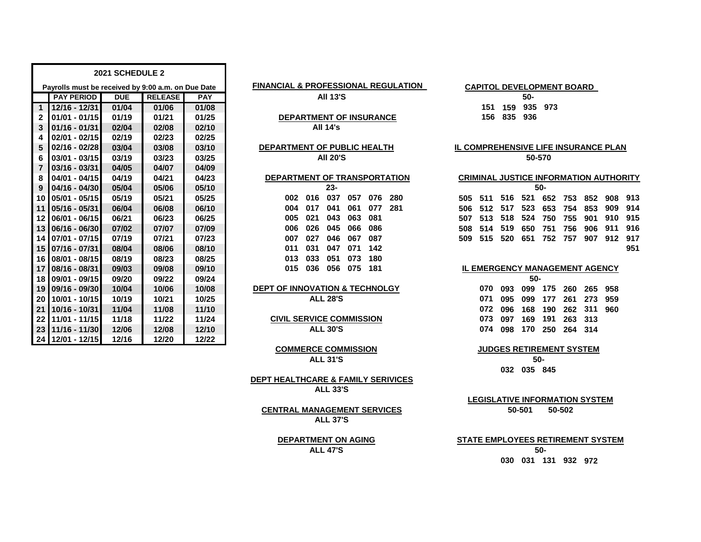|                 |                                                    | 2021 SCHEDULE 2 |                |            |                                                |     |                                            |     |        |        |     |     |     |
|-----------------|----------------------------------------------------|-----------------|----------------|------------|------------------------------------------------|-----|--------------------------------------------|-----|--------|--------|-----|-----|-----|
|                 | Payrolls must be received by 9:00 a.m. on Due Date |                 |                |            | <b>FINANCIAL &amp; PROFESSIONAL REGULATION</b> |     | CAPITOL DEVELOPMENT BOARD                  |     |        |        |     |     |     |
|                 | <b>PAY PERIOD</b>                                  | <b>DUE</b>      | <b>RELEASE</b> | <b>PAY</b> | <b>All 13'S</b>                                |     |                                            |     | 50-    |        |     |     |     |
| $\overline{1}$  | 12/16 - 12/31                                      | 01/04           | 01/06          | 01/08      |                                                |     | 151                                        | 159 | 935    | 973    |     |     |     |
| $\mathbf{2}$    | $01/01 - 01/15$                                    | 01/19           | 01/21          | 01/25      | <b>DEPARTMENT OF INSURANCE</b>                 |     | 156                                        | 835 | 936    |        |     |     |     |
| 3               | $01/16 - 01/31$                                    | 02/04           | 02/08          | 02/10      | <b>All 14's</b>                                |     |                                            |     |        |        |     |     |     |
| 4               | $02/01 - 02/15$                                    | 02/19           | 02/23          | 02/25      |                                                |     |                                            |     |        |        |     |     |     |
| 5               | $02/16 - 02/28$                                    | 03/04           | 03/08          | 03/10      | DEPARTMENT OF PUBLIC HEALTH                    |     | <b>IL COMPREHENSIVE LIFE INSURANCE PLA</b> |     |        |        |     |     |     |
| 6               | 03/01 - 03/15                                      | 03/19           | 03/23          | 03/25      | <b>AII 20'S</b>                                |     |                                            |     | 50-570 |        |     |     |     |
| $\overline{7}$  | $03/16 - 03/31$                                    | 04/05           | 04/07          | 04/09      |                                                |     |                                            |     |        |        |     |     |     |
| 8               | 04/01 - 04/15                                      | 04/19           | 04/21          | 04/23      | DEPARTMENT OF TRANSPORTATION                   |     | <b>CRIMINAL JUSTICE INFORMATION AUTHO</b>  |     |        |        |     |     |     |
| 9               | $04/16 - 04/30$                                    | 05/04           | 05/06          | 05/10      | $23 -$                                         |     |                                            |     |        | $50 -$ |     |     |     |
| 10 <sub>1</sub> | 05/01 - 05/15                                      | 05/19           | 05/21          | 05/25      | 016<br>037<br>076<br>280<br>057<br>002         | 505 | 511                                        | 516 | 521    | 652    | 753 | 852 | 908 |
| 11              | $05/16 - 05/31$                                    | 06/04           | 06/08          | 06/10      | 077<br>281<br>041<br>061<br>004<br>017         | 506 | 512                                        | 517 | 523    | 653    | 754 | 853 | 909 |
| $12 \,$         | 06/01 - 06/15                                      | 06/21           | 06/23          | 06/25      | 063<br>081<br>021<br>043<br>005                | 507 | 513                                        | 518 | 524    | 750    | 755 | 901 | 910 |
| 13 <sup>1</sup> | 06/16 - 06/30                                      | 07/02           | 07/07          | 07/09      | 026<br>045<br>086<br>066<br>006                | 508 | 514                                        | 519 | 650    | 751    | 756 | 906 | 911 |
| 14 <sup>1</sup> | 07/01 - 07/15                                      | 07/19           | 07/21          | 07/23      | 027<br>046<br>067<br>087<br>007                | 509 | 515                                        | 520 | 651    | 752    | 757 | 907 | 912 |
|                 | 15 07/16 - 07/31                                   | 08/04           | 08/06          | 08/10      | 031<br>047<br>071<br>142<br>011                |     |                                            |     |        |        |     |     |     |
| 16              | 08/01 - 08/15                                      | 08/19           | 08/23          | 08/25      | 180<br>033<br>051<br>073<br>013                |     |                                            |     |        |        |     |     |     |
| 17              | 08/16 - 08/31                                      | 09/03           | 09/08          | 09/10      | 075<br>181<br>015<br>036<br>056                |     | <b>IL EMERGENCY MANAGEMENT AGENCY</b>      |     |        |        |     |     |     |
| 18 I            | 09/01 - 09/15                                      | 09/20           | 09/22          | 09/24      |                                                |     |                                            |     | $50 -$ |        |     |     |     |
| 19              | 09/16 - 09/30                                      | 10/04           | 10/06          | 10/08      | <b>DEPT OF INNOVATION &amp; TECHNOLGY</b>      |     | 070                                        | 093 | 099    | 175    | 260 | 265 | 958 |
| 20 <sub>1</sub> | 10/01 - 10/15                                      | 10/19           | 10/21          | 10/25      | <b>ALL 28'S</b>                                |     | 071                                        | 095 | 099    | 177    | 261 | 273 | 959 |
| 21              | 10/16 - 10/31                                      | 11/04           | 11/08          | 11/10      |                                                |     | 072                                        | 096 | 168    | 190    | 262 | 311 | 960 |
| 22              | 11/01 - 11/15                                      | 11/18           | 11/22          | 11/24      | <b>CIVIL SERVICE COMMISSION</b>                |     | 073                                        | 097 | 169    | 191    | 263 | 313 |     |
| 23 <sup>1</sup> | 11/16 - 11/30                                      | 12/06           | 12/08          | 12/10      | <b>ALL 30'S</b>                                |     | 074                                        | 098 | 170    | 250    | 264 | 314 |     |
|                 | 24 12/01 - 12/15                                   | 12/16           | 12/20          | 12/22      |                                                |     |                                            |     |        |        |     |     |     |

## **FINANCIAL & PROFESSIONAL REGULATION**

# **DEPARTMENT OF PUBLIC HEALTH**

#### **DEPARTMENT OF TRANSPORTATION**

|       |                         | $23 -$          |  |  |
|-------|-------------------------|-----------------|--|--|
|       | 002 016 037 057 076 280 |                 |  |  |
|       | 004 017 041 061 077 281 |                 |  |  |
|       | 005 021 043 063 081     |                 |  |  |
|       | 006 026 045 066 086     |                 |  |  |
|       | 007 027 046 067 087     |                 |  |  |
|       | 011 031 047 071 142     |                 |  |  |
|       | 013 033 051 073 180     |                 |  |  |
| 015 - |                         | 036 056 075 181 |  |  |
|       |                         |                 |  |  |

# **ALL 28'S**

## **COMMERCE COMMISSION ALL 31'S**

**DEPT HEALTHCARE & FAMILY SERIVICES ALL 33'S**

## **CENTRAL MANAGEMENT SERVICES ALL 37'S**

**DEPARTMENT ON AGING ALL 47'S**

#### **CAPITOL DEVELOPMENT BOARD**

**50-570 IL COMPREHENSIVE LIFE INSURANCE PLAN**

| $8$   04/01 - 04/15 | 04/19 | 04/21 | 04/23 | <b>DEPARTMENT OF TRANSPORTATION</b> |         |     |         |         |  | <b>CRIMINAL JUSTICE INFORMATION AUTHORITY</b> |             |     |             |                         |     |
|---------------------|-------|-------|-------|-------------------------------------|---------|-----|---------|---------|--|-----------------------------------------------|-------------|-----|-------------|-------------------------|-----|
| $9$   04/16 - 04/30 | 05/04 | 05/06 | 05/10 |                                     |         | 23- |         |         |  |                                               |             | 50- |             |                         |     |
| 10 05/01 - 05/15    | 05/19 | 05/21 | 05/25 |                                     | 002 016 | 037 | 057     | 076 280 |  | 505 511 516 521 652 753 852 908 913           |             |     |             |                         |     |
| 11 05/16 - 05/31    | 06/04 | 06/08 | 06/10 |                                     | 004 017 | 041 | 061     | 077 281 |  | 506 512 517                                   | 523 653 754 |     | 853         | 909 914                 |     |
| 12   06/01 - 06/15  | 06/21 | 06/23 | 06/25 |                                     | 005 021 | 043 | 063 081 |         |  | 507 513 518                                   | 524         |     | 750 755 901 | 910 915                 |     |
| 13 06/16 - 06/30    | 07/02 | 07/07 | 07/09 |                                     | 006 026 | 045 | 066 086 |         |  | 508 514 519                                   |             |     |             | 650 751 756 906 911 916 |     |
| 14   07/01 - 07/15  | 07/19 | 07/21 | 07/23 | 007                                 | 027     | 046 | 067     | 087     |  | 509 515 520                                   | 651 752 757 |     |             | 907 912 917             |     |
| 15 07/16 - 07/31    | 08/04 | 08/06 | 08/10 |                                     | 011 031 | 047 | 071     | - 142   |  |                                               |             |     |             |                         | 951 |

| <b>IL EMERGENCY MANAGEMENT AGENCY</b> |  |                             |  |  |  |  |  |  |  |  |
|---------------------------------------|--|-----------------------------|--|--|--|--|--|--|--|--|
| 50-                                   |  |                             |  |  |  |  |  |  |  |  |
|                                       |  | 070 093 099 175 260 265 958 |  |  |  |  |  |  |  |  |
|                                       |  | 071 095 099 177 261 273 959 |  |  |  |  |  |  |  |  |
|                                       |  | 072 096 168 190 262 311 960 |  |  |  |  |  |  |  |  |
|                                       |  | 073 097 169 191 263 313     |  |  |  |  |  |  |  |  |
|                                       |  | 074 098 170 250 264 314     |  |  |  |  |  |  |  |  |

#### **JUDGES RETIREMENT SYSTEM**

**032 035 845 50-**

**50-501 50-502 LEGISLATIVE INFORMATION SYSTEM**

**030 031 131 932 972 50- STATE EMPLOYEES RETIREMENT SYSTEM**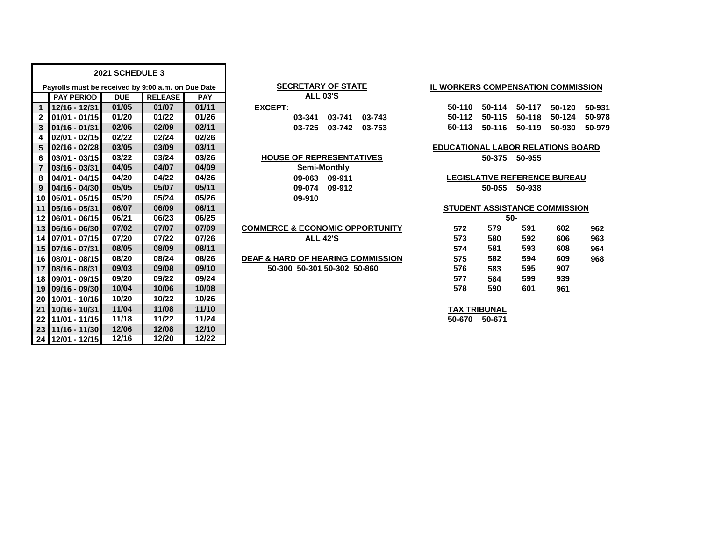|                 |                                                    | 2021 SCHEDULE 3 |                |            |                                              |        |                                           |        |               |                                     |        |
|-----------------|----------------------------------------------------|-----------------|----------------|------------|----------------------------------------------|--------|-------------------------------------------|--------|---------------|-------------------------------------|--------|
|                 | Payrolls must be received by 9:00 a.m. on Due Date |                 |                |            | <b>SECRETARY OF STATE</b>                    |        | <b>IL WORKERS COMPENSATION COMMISSION</b> |        |               |                                     |        |
|                 | <b>PAY PERIOD</b>                                  | <b>DUE</b>      | <b>RELEASE</b> | <b>PAY</b> | <b>ALL 03'S</b>                              |        |                                           |        |               |                                     |        |
| $\overline{1}$  | $12/16 - 12/31$                                    | 01/05           | 01/07          | 01/11      | <b>EXCEPT:</b>                               |        | 50-110                                    | 50-114 | 50-117        | 50-120                              | 50-931 |
| $\mathbf{2}$    | $01/01 - 01/15$                                    | 01/20           | 01/22          | 01/26      | 03-741<br>03-341                             | 03-743 | 50-112                                    | 50-115 | 50-118        | 50-124                              | 50-978 |
| 3               | $01/16 - 01/31$                                    | 02/05           | 02/09          | 02/11      | 03-742<br>03-725                             | 03-753 | 50-113                                    | 50-116 | 50-119        | 50-930                              | 50-979 |
| 4               | $02/01 - 02/15$                                    | 02/22           | 02/24          | 02/26      |                                              |        |                                           |        |               |                                     |        |
| 5               | 02/16 - 02/28                                      | 03/05           | 03/09          | 03/11      |                                              |        | <b>EDUCATIONAL LABOR RELATIONS BOARD</b>  |        |               |                                     |        |
| 6               | 03/01 - 03/15                                      | 03/22           | 03/24          | 03/26      | <b>HOUSE OF REPRESENTATIVES</b>              |        |                                           |        | 50-375 50-955 |                                     |        |
| $\overline{7}$  | 03/16 - 03/31                                      | 04/05           | 04/07          | 04/09      | Semi-Monthly                                 |        |                                           |        |               |                                     |        |
| 8               | 04/01 - 04/15                                      | 04/20           | 04/22          | 04/26      | 09-063 09-911                                |        |                                           |        |               | <b>LEGISLATIVE REFERENCE BUREAU</b> |        |
| 9               | 04/16 - 04/30                                      | 05/05           | 05/07          | 05/11      | 09-074<br>09-912                             |        |                                           |        | 50-055 50-938 |                                     |        |
| 10              | 05/01 - 05/15                                      | 05/20           | 05/24          | 05/26      | 09-910                                       |        |                                           |        |               |                                     |        |
| 11              | $05/16 - 05/31$                                    | 06/07           | 06/09          | 06/11      |                                              |        | STUDENT ASSISTANCE COMMISSION             |        |               |                                     |        |
| 12 <sup>1</sup> | 06/01 - 06/15                                      | 06/21           | 06/23          | 06/25      |                                              |        |                                           |        | 50-           |                                     |        |
| 13 <sup>1</sup> | 06/16 - 06/30                                      | 07/02           | 07/07          | 07/09      | <b>COMMERCE &amp; ECONOMIC OPPORTUNITY</b>   |        | 572                                       | 579    | 591           | 602                                 | 962    |
| 14              | 07/01 - 07/15                                      | 07/20           | 07/22          | 07/26      | <b>ALL 42'S</b>                              |        | 573                                       | 580    | 592           | 606                                 | 963    |
| 15              | 07/16 - 07/31                                      | 08/05           | 08/09          | 08/11      |                                              |        | 574                                       | 581    | 593           | 608                                 | 964    |
| 16 <sup>1</sup> | 08/01 - 08/15                                      | 08/20           | 08/24          | 08/26      | <b>DEAF &amp; HARD OF HEARING COMMISSION</b> |        | 575                                       | 582    | 594           | 609                                 | 968    |
| 17 <sup>1</sup> | 08/16 - 08/31                                      | 09/03           | 09/08          | 09/10      | 50-300 50-301 50-302 50-860                  |        | 576                                       | 583    | 595           | 907                                 |        |
| 18 <sup>1</sup> | 09/01 - 09/15                                      | 09/20           | 09/22          | 09/24      |                                              |        | 577                                       | 584    | 599           | 939                                 |        |
| 19              | 09/16 - 09/30                                      | 10/04           | 10/06          | 10/08      |                                              |        | 578                                       | 590    | 601           | 961                                 |        |
| 20 <sub>1</sub> | 10/01 - 10/15                                      | 10/20           | 10/22          | 10/26      |                                              |        |                                           |        |               |                                     |        |
| 21              | 10/16 - 10/31                                      | 11/04           | 11/08          | 11/10      |                                              |        | <b>TAX TRIBUNAL</b>                       |        |               |                                     |        |
| 22              | 11/01 - 11/15                                      | 11/18           | 11/22          | 11/24      |                                              |        | 50-670                                    | 50-671 |               |                                     |        |
| 23              | 11/16 - 11/30                                      | 12/06           | 12/08          | 12/10      |                                              |        |                                           |        |               |                                     |        |
|                 | 24 12/01 - 12/15                                   | 12/16           | 12/20          | 12/22      |                                              |        |                                           |        |               |                                     |        |

#### **SECRETARY OF STATE ALL 03'S**

|      | ALL UJ J |                           |  |
|------|----------|---------------------------|--|
| EPT: |          |                           |  |
|      |          | $03-341$ $03-741$ $03-74$ |  |
|      |          | በ3-725 በ3-742 በ3-74       |  |

| <b>COMMERCE &amp; ECONOMIC OPPORTUNITY</b> |
|--------------------------------------------|
| <b>ALL 42'S</b>                            |

## **IL WORKERS COMPENSATION COMMISSION**

| 50-110 50-114 50-117               | 50-120 50-931 |  |
|------------------------------------|---------------|--|
| 50-112 50-115 50-118 50-124 50-978 |               |  |
| 50-113 50-116 50-119 50-930 50-979 |               |  |

# **EDUCATIONAL LABOR RELATIONS BOARD**

## **STUDENT ASSISTANCE COMMISSION**

|     |     | 50- |     |     |
|-----|-----|-----|-----|-----|
| 572 | 579 | 591 | 602 | 962 |
| 573 | 580 | 592 | 606 | 963 |
| 574 | 581 | 593 | 608 | 964 |
| 575 | 582 | 594 | 609 | 968 |
| 576 | 583 | 595 | 907 |     |
| 577 | 584 | 599 | 939 |     |
| 578 | 590 | 601 | 961 |     |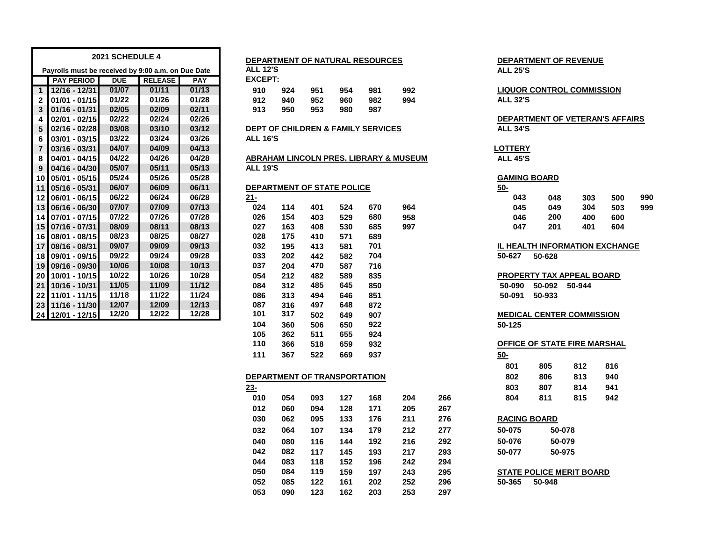|                 |                                                    | 2021 SCHEDULE 4 |                |            |                 |                            |     |     | DEPARTMENT OF NATURAL RESOURCES               |                                        |                 | DEPARTMENT OF REVENUE            |        |     |     |
|-----------------|----------------------------------------------------|-----------------|----------------|------------|-----------------|----------------------------|-----|-----|-----------------------------------------------|----------------------------------------|-----------------|----------------------------------|--------|-----|-----|
|                 | Payrolls must be received by 9:00 a.m. on Due Date |                 |                |            | <b>ALL 12'S</b> |                            |     |     |                                               |                                        | <b>ALL 25'S</b> |                                  |        |     |     |
|                 | <b>PAY PERIOD</b>                                  | <b>DUE</b>      | <b>RELEASE</b> | <b>PAY</b> | <b>EXCEPT:</b>  |                            |     |     |                                               |                                        |                 |                                  |        |     |     |
| 1 <sup>1</sup>  | 12/16 - 12/31                                      | 01/07           | 01/11          | 01/13      | 910             | 924                        | 951 | 954 | 981                                           | 992                                    |                 | <b>LIQUOR CONTROL COMMISSION</b> |        |     |     |
| $\mathbf{2}$    | $01/01 - 01/15$                                    | 01/22           | 01/26          | 01/28      | 912             | 940                        | 952 | 960 | 982                                           | 994                                    | <b>ALL 32'S</b> |                                  |        |     |     |
| 3               | $01/16 - 01/31$                                    | 02/05           | 02/09          | 02/11      | 913             | 950                        | 953 | 980 | 987                                           |                                        |                 |                                  |        |     |     |
|                 | $02/01 - 02/15$                                    | 02/22           | 02/24          | 02/26      |                 |                            |     |     |                                               |                                        |                 | DEPARTMENT OF VETERAN'S AFFAIRS  |        |     |     |
| 5               | $02/16 - 02/28$                                    | 03/08           | 03/10          | 03/12      |                 |                            |     |     | <b>DEPT OF CHILDREN &amp; FAMILY SERVICES</b> |                                        | <b>ALL 34'S</b> |                                  |        |     |     |
| 6               | $03/01 - 03/15$                                    | 03/22           | 03/24          | 03/26      | <b>ALL 16'S</b> |                            |     |     |                                               |                                        |                 |                                  |        |     |     |
| $\overline{7}$  | $03/16 - 03/31$                                    | 04/07           | 04/09          | 04/13      |                 |                            |     |     |                                               |                                        | <b>LOTTERY</b>  |                                  |        |     |     |
| 8               | 04/01 - 04/15                                      | 04/22           | 04/26          | 04/28      |                 |                            |     |     |                                               | ABRAHAM LINCOLN PRES. LIBRARY & MUSEUM | <b>ALL 45'S</b> |                                  |        |     |     |
| 9               | 04/16 - 04/30                                      | 05/07           | 05/11          | 05/13      | <b>ALL 19'S</b> |                            |     |     |                                               |                                        |                 |                                  |        |     |     |
|                 | 10 05/01 - 05/15                                   | 05/24           | 05/26          | 05/28      |                 |                            |     |     |                                               |                                        |                 | <b>GAMING BOARD</b>              |        |     |     |
|                 | 11 05/16 - 05/31                                   | 06/07           | 06/09          | 06/11      |                 | DEPARTMENT OF STATE POLICE |     |     |                                               |                                        | $50 -$          |                                  |        |     |     |
|                 | 12 06/01 - 06/15                                   | 06/22           | 06/24          | 06/28      | $21 -$          |                            |     |     |                                               |                                        | 043             | 048                              | 303    | 500 | 990 |
|                 | 13 06/16 - 06/30                                   | 07/07           | 07/09          | 07/13      | 024             | 114                        | 401 | 524 | 670                                           | 964                                    | 045             | 049                              | 304    | 503 | 999 |
|                 | 14 07/01 - 07/15                                   | 07/22           | 07/26          | 07/28      | 026             | 154                        | 403 | 529 | 680                                           | 958                                    | 046             | 200                              | 400    | 600 |     |
|                 | 15 07/16 - 07/31                                   | 08/09           | 08/11          | 08/13      | 027             | 163                        | 408 | 530 | 685                                           | 997                                    | 047             | 201                              | 401    | 604 |     |
|                 | 16 08/01 - 08/15                                   | 08/23           | 08/25          | 08/27      | 028             | 175                        | 410 | 571 | 689                                           |                                        |                 |                                  |        |     |     |
|                 | 17 08/16 - 08/31                                   | 09/07           | 09/09          | 09/13      | 032             | 195                        | 413 | 581 | 701                                           |                                        |                 | IL HEALTH INFORMATION EXCHANGE   |        |     |     |
|                 | 18 09/01 - 09/15                                   | 09/22           | 09/24          | 09/28      | 033             | 202                        | 442 | 582 | 704                                           |                                        | 50-627          | 50-628                           |        |     |     |
|                 | 19 09/16 - 09/30                                   | 10/06           | 10/08          | 10/13      | 037             | 204                        | 470 | 587 | 716                                           |                                        |                 |                                  |        |     |     |
|                 | 20 10/01 - 10/15                                   | 10/22           | 10/26          | 10/28      | 054             | 212                        | 482 | 589 | 835                                           |                                        |                 | PROPERTY TAX APPEAL BOARD        |        |     |     |
|                 | 21 10/16 - 10/31                                   | 11/05           | 11/09          | 11/12      | 084             | 312                        | 485 | 645 | 850                                           |                                        | 50-090          | 50-092                           | 50-944 |     |     |
| 22 <sub>1</sub> | $11/01 - 11/15$                                    | 11/18           | 11/22          | 11/24      | 086             | 313                        | 494 | 646 | 851                                           |                                        | 50-091          | 50-933                           |        |     |     |
|                 | 23 11/16 - 11/30                                   | 12/07           | 12/09          | 12/13      | 087             | 316                        | 497 | 648 | 872                                           |                                        |                 |                                  |        |     |     |
|                 | 24 12/01 - 12/15                                   | 12/20           | 12/22          | 12/28      | 101             | 317                        | 502 | 649 | 907                                           |                                        |                 | <b>MEDICAL CENTER COMMISSION</b> |        |     |     |
|                 |                                                    |                 |                |            | 104             | 360                        | 506 | 650 | 922                                           |                                        | 50-125          |                                  |        |     |     |

|                 |     |     |     | <b>DEPARTMENT OF NATURAL RESOURCES</b>        |     |
|-----------------|-----|-----|-----|-----------------------------------------------|-----|
| <b>ALL 12'S</b> |     |     |     |                                               |     |
| EXCEPT:         |     |     |     |                                               |     |
| 910             | 924 | 951 | 954 | 981                                           | 992 |
| 912             | 940 | 952 | 960 | 982                                           | 994 |
| 913             | 950 | 953 | 980 | 987                                           |     |
|                 |     |     |     |                                               |     |
|                 |     |     |     | <b>DEPT OF CHILDREN &amp; FAMILY SERVICES</b> |     |

# **ALL 19'S**

| 21- |     |     |     |     |     | 04           |
|-----|-----|-----|-----|-----|-----|--------------|
| 024 | 114 | 401 | 524 | 670 | 964 | 04           |
| 026 | 154 | 403 | 529 | 680 | 958 | 04           |
| 027 | 163 | 408 | 530 | 685 | 997 | 04           |
| 028 | 175 | 410 | 571 | 689 |     |              |
| 032 | 195 | 413 | 581 | 701 |     | IL HEA       |
| 033 | 202 | 442 | 582 | 704 |     | 50-627       |
| 037 | 204 | 470 | 587 | 716 |     |              |
| 054 | 212 | 482 | 589 | 835 |     | <b>PROPI</b> |
| 084 | 312 | 485 | 645 | 850 |     | 50-09        |
| 086 | 313 | 494 | 646 | 851 |     | $50 - 09$    |
| 087 | 316 | 497 | 648 | 872 |     |              |
| 101 | 317 | 502 | 649 | 907 |     | <b>MEDIC</b> |
| 104 | 360 | 506 | 650 | 922 |     | 50-125       |
| 105 | 362 | 511 | 655 | 924 |     |              |
| 110 | 366 | 518 | 659 | 932 |     | <b>OFFIC</b> |
| 111 | 367 | 522 | 669 | 937 |     | $50 -$       |
|     |     |     |     |     |     |              |

### **DEPARTMENT OF TRANSPORTATION 802 806 813 940**

| $23 -$ |     |     |     |     |     |     | 803                 | 807                             | 814    | 941 |
|--------|-----|-----|-----|-----|-----|-----|---------------------|---------------------------------|--------|-----|
| 010    | 054 | 093 | 127 | 168 | 204 | 266 | 804                 | 811                             | 815    | 942 |
| 012    | 060 | 094 | 128 | 171 | 205 | 267 |                     |                                 |        |     |
| 030    | 062 | 095 | 133 | 176 | 211 | 276 | <b>RACING BOARD</b> |                                 |        |     |
| 032    | 064 | 107 | 134 | 179 | 212 | 277 | 50-075              |                                 | 50-078 |     |
| 040    | 080 | 116 | 144 | 192 | 216 | 292 | 50-076              |                                 | 50-079 |     |
| 042    | 082 | 117 | 145 | 193 | 217 | 293 | 50-077              |                                 | 50-975 |     |
| 044    | 083 | 118 | 152 | 196 | 242 | 294 |                     |                                 |        |     |
| 050    | 084 | 119 | 159 | 197 | 243 | 295 |                     | <b>STATE POLICE MERIT BOARD</b> |        |     |
| 052    | 085 | 122 | 161 | 202 | 252 | 296 | 50-365              | 50-948                          |        |     |
| 053    | 090 | 123 | 162 | 203 | 253 | 297 |                     |                                 |        |     |
|        |     |     |     |     |     |     |                     |                                 |        |     |

| <b>DEPARTMENT OF REVENUE</b> |  |
|------------------------------|--|
| <b>ALL 25'S</b>              |  |

# **12/16 - 12/31 01/07 01/11 01/13 910 924 951 954 981 992 LIQUOR CONTROL COMMISSION**

# **02/01 - 02/15 02/22 02/24 02/26 DEPARTMENT OF VETERAN'S AFFAIRS**

# **GAMING BOARD**

| <u>יש</u> |     |     |     |     |     |
|-----------|-----|-----|-----|-----|-----|
|           | 043 | 048 | 303 | 500 | 990 |
|           | 045 | 049 | 304 | 503 | 999 |
|           | 046 | 200 | 400 | 600 |     |
|           | 047 | 201 | 401 | 604 |     |
|           |     |     |     |     |     |

## **08/16 - 08/31 09/07 09/09 09/13 032 195 413 581 701 IL HEALTH INFORMATION EXCHANGE 09/01 - 09/15 09/22 09/24 09/28 033 202 442 582 704 50-627 50-628**

# **MEDICAL CENTER COMMISSION**

# **366 518 659 932 OFFICE OF STATE FIRE MARSHAL**

| 801 | 805 | 812 | 816 |
|-----|-----|-----|-----|
| 802 | 806 | 813 | 940 |
| 803 | 807 | 814 | 941 |
| 804 | 811 | 815 | 942 |

| <b>RACING BOARD</b> |                         |  |  |  |  |  |
|---------------------|-------------------------|--|--|--|--|--|
| 50-075              | 50-078                  |  |  |  |  |  |
| 50-076              | 50-079                  |  |  |  |  |  |
| 50-077              | 50-975                  |  |  |  |  |  |
|                     |                         |  |  |  |  |  |
|                     | 07175 DALIAE MEDIT DA 4 |  |  |  |  |  |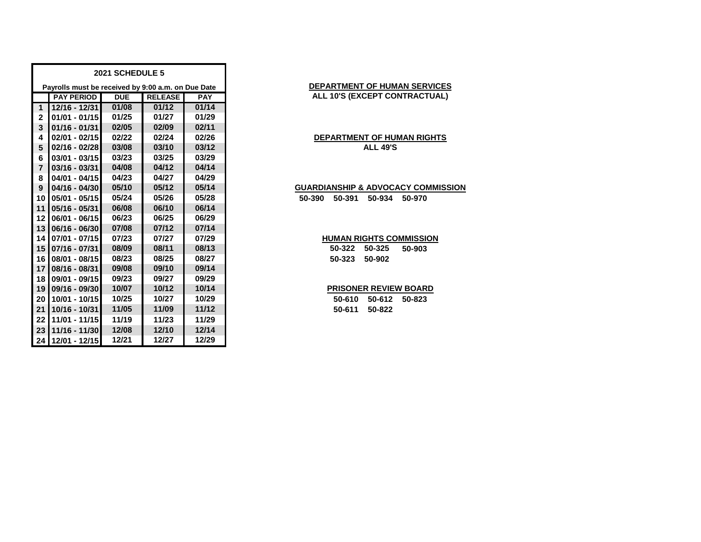|                | 2021 SCHEDULE 5                                    |            |                |            |  |  |  |  |
|----------------|----------------------------------------------------|------------|----------------|------------|--|--|--|--|
|                | Payrolls must be received by 9:00 a.m. on Due Date |            |                |            |  |  |  |  |
|                | <b>PAY PERIOD</b>                                  | <b>DUE</b> | <b>RELEASE</b> | <b>PAY</b> |  |  |  |  |
| 1              | 12/16 - 12/31                                      | 01/08      | 01/12          | 01/14      |  |  |  |  |
| $\mathbf{2}$   | $01/01 - 01/15$                                    | 01/25      | 01/27          | 01/29      |  |  |  |  |
| 3              | $01/16 - 01/31$                                    | 02/05      | 02/09          | 02/11      |  |  |  |  |
| 4              | $02/01 - 02/15$                                    | 02/22      | 02/24          | 02/26      |  |  |  |  |
| 5              | 02/16 - 02/28                                      | 03/08      | 03/10          | 03/12      |  |  |  |  |
| 6              | $03/01 - 03/15$                                    | 03/23      | 03/25          | 03/29      |  |  |  |  |
| $\overline{7}$ | $03/16 - 03/31$                                    | 04/08      | 04/12          | 04/14      |  |  |  |  |
| 8              | 04/01 - 04/15                                      | 04/23      | 04/27          | 04/29      |  |  |  |  |
| 9              | $04/16 - 04/30$                                    | 05/10      | 05/12          | 05/14      |  |  |  |  |
| 10             | 05/01 - 05/15                                      | 05/24      | 05/26          | 05/28      |  |  |  |  |
| 11             | 05/16 - 05/31                                      | 06/08      | 06/10          | 06/14      |  |  |  |  |
| 12             | 06/01 - 06/15                                      | 06/23      | 06/25          | 06/29      |  |  |  |  |
| 13             | $06/16 - 06/30$                                    | 07/08      | 07/12          | 07/14      |  |  |  |  |
| 14             | $07/01 - 07/15$                                    | 07/23      | 07/27          | 07/29      |  |  |  |  |
| 15             | 07/16 - 07/31                                      | 08/09      | 08/11          | 08/13      |  |  |  |  |
| 16             | 08/01 - 08/15                                      | 08/23      | 08/25          | 08/27      |  |  |  |  |
| 17             | 08/16 - 08/31                                      | 09/08      | 09/10          | 09/14      |  |  |  |  |
| 18             | 09/01 - 09/15                                      | 09/23      | 09/27          | 09/29      |  |  |  |  |
| 19             | 09/16 - 09/30                                      | 10/07      | 10/12          | 10/14      |  |  |  |  |
| 20             | 10/01 - 10/15                                      | 10/25      | 10/27          | 10/29      |  |  |  |  |
| 21             | 10/16 - 10/31                                      | 11/05      | 11/09          | 11/12      |  |  |  |  |
| 22             | 11/01 - 11/15                                      | 11/19      | 11/23          | 11/29      |  |  |  |  |
| 23             | 11/16 - 11/30                                      | 12/08      | 12/10          | 12/14      |  |  |  |  |
| 24             | 12/01 - 12/15                                      | 12/21      | 12/27          | 12/29      |  |  |  |  |

# **DEPARTMENT OF HUMAN SERVICES ALL 10'S (EXCEPT CONTRACTUAL)**

# **DEPARTMENT OF HUMAN RIGHTS ALL 49'S**

## **GUARDIANSHIP & ADVOCACY COMMISSION**

**05/01 - 05/15 05/24 05/26 05/28 50-390 50-391 50-934 50-970**

# **HUMAN RIGHTS COMMISSION**

 **07/16 - 07/31 08/09 08/11 08/13 50-322 50-325 50-903 08/01 - 08/15 08/23 08/25 08/27 50-323 50-902**

# **PRISONER REVIEW BOARD**

 **10/01 - 10/15 10/25 10/27 10/29 50-610 50-612 50-823 10/16 - 10/31 11/05 11/09 11/12 50-611 50-822**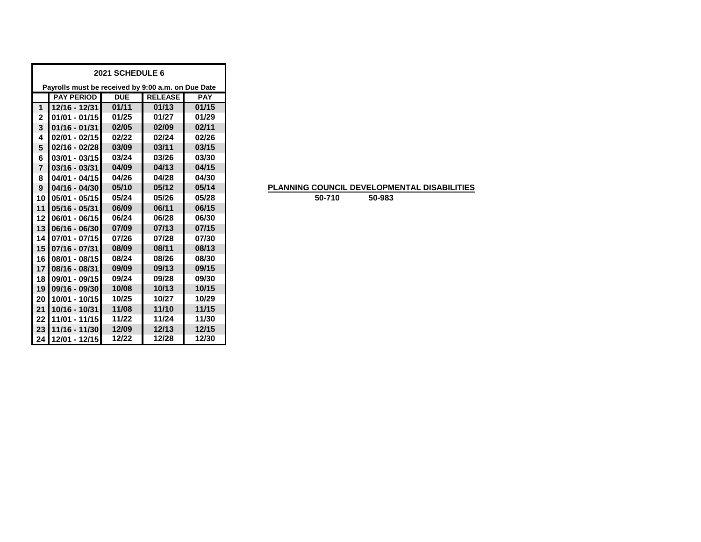| 2021 SCHEDULE 6 |                                                    |            |                |            |  |  |  |  |
|-----------------|----------------------------------------------------|------------|----------------|------------|--|--|--|--|
|                 | Payrolls must be received by 9:00 a.m. on Due Date |            |                |            |  |  |  |  |
|                 | <b>PAY PERIOD</b>                                  | <b>DUE</b> | <b>RELEASE</b> | <b>PAY</b> |  |  |  |  |
| 1               | 12/16 - 12/31                                      | 01/11      | 01/13          | 01/15      |  |  |  |  |
| $\mathbf{2}$    | $01/01 - 01/15$                                    | 01/25      | 01/27          | 01/29      |  |  |  |  |
| 3               | $01/16 - 01/31$                                    | 02/05      | 02/09          | 02/11      |  |  |  |  |
| 4               | $02/01 - 02/15$                                    | 02/22      | 02/24          | 02/26      |  |  |  |  |
| 5               | $02/16 - 02/28$                                    | 03/09      | 03/11          | 03/15      |  |  |  |  |
| 6               | $03/01 - 03/15$                                    | 03/24      | 03/26          | 03/30      |  |  |  |  |
| $\overline{7}$  | $03/16 - 03/31$                                    | 04/09      | 04/13          | 04/15      |  |  |  |  |
| 8               | $04/01 - 04/15$                                    | 04/26      | 04/28          | 04/30      |  |  |  |  |
| 9               | $04/16 - 04/30$                                    | 05/10      | 05/12          | 05/14      |  |  |  |  |
| 10              | $05/01 - 05/15$                                    | 05/24      | 05/26          | 05/28      |  |  |  |  |
| 11              | $05/16 - 05/31$                                    | 06/09      | 06/11          | 06/15      |  |  |  |  |
| 12              | 06/01 - 06/15                                      | 06/24      | 06/28          | 06/30      |  |  |  |  |
| 13              | 06/16 - 06/30                                      | 07/09      | 07/13          | 07/15      |  |  |  |  |
| 14              | $07/01 - 07/15$                                    | 07/26      | 07/28          | 07/30      |  |  |  |  |
| 15              | 07/16 - 07/31                                      | 08/09      | 08/11          | 08/13      |  |  |  |  |
| 16              | 08/01 - 08/15                                      | 08/24      | 08/26          | 08/30      |  |  |  |  |
| 17              | $08/16 - 08/31$                                    | 09/09      | 09/13          | 09/15      |  |  |  |  |
| 18              | 09/01 - 09/15                                      | 09/24      | 09/28          | 09/30      |  |  |  |  |
| 19              | 09/16 - 09/30                                      | 10/08      | 10/13          | 10/15      |  |  |  |  |
| 20              | 10/01 - 10/15                                      | 10/25      | 10/27          | 10/29      |  |  |  |  |
| 21              | 10/16 - 10/31                                      | 11/08      | 11/10          | 11/15      |  |  |  |  |
| 22              | 11/01 - 11/15                                      | 11/22      | 11/24          | 11/30      |  |  |  |  |
| 23              | 11/16 - 11/30                                      | 12/09      | 12/13          | 12/15      |  |  |  |  |
| 24              | 12/01 - 12/15                                      | 12/22      | 12/28          | 12/30      |  |  |  |  |

# **PLANNING COUNCIL DEVELOPMENTAL DISABILITIES**

**50-710 50-983**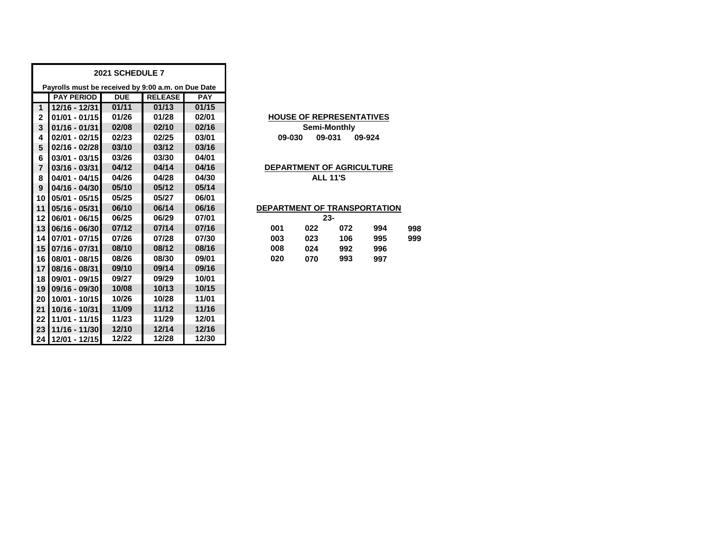|                                                    |                   | 2021 SCHEDULE 7 |                |            |                                 |
|----------------------------------------------------|-------------------|-----------------|----------------|------------|---------------------------------|
| Payrolls must be received by 9:00 a.m. on Due Date |                   |                 |                |            |                                 |
|                                                    | <b>PAY PERIOD</b> | <b>DUE</b>      | <b>RELEASE</b> | <b>PAY</b> |                                 |
| 1                                                  | 12/16 - 12/31     | 01/11           | 01/13          | 01/15      |                                 |
| $\overline{2}$                                     | $01/01 - 01/15$   | 01/26           | 01/28          | 02/01      | <b>HOUSE OF REPRESENTATIVES</b> |
| 3                                                  | $01/16 - 01/31$   | 02/08           | 02/10          | 02/16      | Semi-Monthly                    |
| 4                                                  | $02/01 - 02/15$   | 02/23           | 02/25          | 03/01      | 09-031<br>09-030<br>09-924      |
| 5                                                  | $02/16 - 02/28$   | 03/10           | 03/12          | 03/16      |                                 |
| 6                                                  | $03/01 - 03/15$   | 03/26           | 03/30          | 04/01      |                                 |
| $\overline{7}$                                     | $03/16 - 03/31$   | 04/12           | 04/14          | 04/16      | DEPARTMENT OF AGRICULTURE       |
| 8                                                  | 04/01 - 04/15     | 04/26           | 04/28          | 04/30      | <b>ALL 11'S</b>                 |
| 9                                                  | 04/16 - 04/30     | 05/10           | 05/12          | 05/14      |                                 |
| 10                                                 | 05/01 - 05/15     | 05/25           | 05/27          | 06/01      |                                 |
| 11                                                 | $05/16 - 05/31$   | 06/10           | 06/14          | 06/16      | DEPARTMENT OF TRANSPORTATION    |
| 12                                                 | 06/01 - 06/15     | 06/25           | 06/29          | 07/01      | $23 -$                          |
| 13                                                 | 06/16 - 06/30     | 07/12           | 07/14          | 07/16      | 001<br>022<br>072<br>998<br>994 |
| 14                                                 | 07/01 - 07/15     | 07/26           | 07/28          | 07/30      | 003<br>023<br>106<br>995<br>999 |
| 15                                                 | $07/16 - 07/31$   | 08/10           | 08/12          | 08/16      | 008<br>024<br>992<br>996        |
| 16                                                 | 08/01 - 08/15     | 08/26           | 08/30          | 09/01      | 020<br>993<br>070<br>997        |
| 17                                                 | 08/16 - 08/31     | 09/10           | 09/14          | 09/16      |                                 |
| 18                                                 | 09/01 - 09/15     | 09/27           | 09/29          | 10/01      |                                 |
| 19                                                 | 09/16 - 09/30     | 10/08           | 10/13          | 10/15      |                                 |
| 20                                                 | 10/01 - 10/15     | 10/26           | 10/28          | 11/01      |                                 |
| 21                                                 | 10/16 - 10/31     | 11/09           | 11/12          | 11/16      |                                 |
| 22                                                 | 11/01 - 11/15     | 11/23           | 11/29          | 12/01      |                                 |
| 23                                                 | 11/16 - 11/30     | 12/10           | 12/14          | 12/16      |                                 |
| 24 <sub>1</sub>                                    | 12/01 - 12/15     | 12/22           | 12/28          | 12/30      |                                 |

# **HOUSE OF REPRESENTATIVES 09-030 09-031 09-924 Semi-Monthly**

## **DEPARTMENT OF AGRICULTURE ALL 11'S**

# **DEPARTMENT OF TRANSPORTATION**

|     |     | 23- |     |     |
|-----|-----|-----|-----|-----|
| 001 | 022 | 072 | 994 | 998 |
| 003 | 023 | 106 | 995 | 999 |
| 008 | 024 | 992 | 996 |     |
| 020 | 070 | 993 | 997 |     |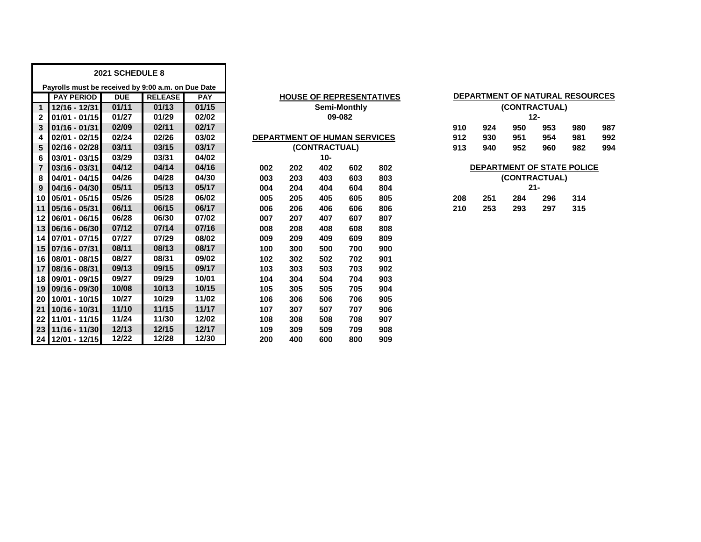|                         | 2021 SCHEDULE 8                                    |            |                |            |     |                                     |               |     |                                 |     |     |               |        |                                 |     |
|-------------------------|----------------------------------------------------|------------|----------------|------------|-----|-------------------------------------|---------------|-----|---------------------------------|-----|-----|---------------|--------|---------------------------------|-----|
|                         | Payrolls must be received by 9:00 a.m. on Due Date |            |                |            |     |                                     |               |     |                                 |     |     |               |        |                                 |     |
|                         | <b>PAY PERIOD</b>                                  | <b>DUE</b> | <b>RELEASE</b> | <b>PAY</b> |     |                                     |               |     | <b>HOUSE OF REPRESENTATIVES</b> |     |     |               |        | DEPARTMENT OF NATURAL RESOURCES |     |
| $\overline{1}$          | $12/16 - 12/31$                                    | 01/11      | 01/13          | 01/15      |     | Semi-Monthly                        |               |     | (CONTRACTUAL)                   |     |     |               |        |                                 |     |
| $\mathbf{2}$            | $01/01 - 01/15$                                    | 01/27      | 01/29          | 02/02      |     | 09-082                              |               |     |                                 |     |     | $12 -$        |        |                                 |     |
| 3                       | $01/16 - 01/31$                                    | 02/09      | 02/11          | 02/17      |     |                                     |               |     |                                 | 910 | 924 | 950           | 953    | 980                             | 987 |
| 4                       | $02/01 - 02/15$                                    | 02/24      | 02/26          | 03/02      |     | <b>DEPARTMENT OF HUMAN SERVICES</b> |               |     |                                 | 912 | 930 | 951           | 954    | 981                             | 992 |
| 5                       | $02/16 - 02/28$                                    | 03/11      | 03/15          | 03/17      |     |                                     | (CONTRACTUAL) |     |                                 | 913 | 940 | 952           | 960    | 982                             | 994 |
| 6                       | 03/01 - 03/15                                      | 03/29      | 03/31          | 04/02      |     |                                     | $10 -$        |     |                                 |     |     |               |        |                                 |     |
| $\overline{\mathbf{7}}$ | $03/16 - 03/31$                                    | 04/12      | 04/14          | 04/16      | 002 | 202                                 | 402           | 602 | 802                             |     |     |               |        | DEPARTMENT OF STATE POLICE      |     |
| 8                       | 04/01 - 04/15                                      | 04/26      | 04/28          | 04/30      | 003 | 203                                 | 403           | 603 | 803                             |     |     | (CONTRACTUAL) |        |                                 |     |
| 9                       | $04/16 - 04/30$                                    | 05/11      | 05/13          | 05/17      | 004 | 204                                 | 404           | 604 | 804                             |     |     |               | $21 -$ |                                 |     |
| 10 <sup>1</sup>         | $05/01 - 05/15$                                    | 05/26      | 05/28          | 06/02      | 005 | 205                                 | 405           | 605 | 805                             | 208 | 251 | 284           | 296    | 314                             |     |
| 11                      | $05/16 - 05/31$                                    | 06/11      | 06/15          | 06/17      | 006 | 206                                 | 406           | 606 | 806                             | 210 | 253 | 293           | 297    | 315                             |     |
| $12 \,$                 | 06/01 - 06/15                                      | 06/28      | 06/30          | 07/02      | 007 | 207                                 | 407           | 607 | 807                             |     |     |               |        |                                 |     |
| 13                      | 06/16 - 06/30                                      | 07/12      | 07/14          | 07/16      | 008 | 208                                 | 408           | 608 | 808                             |     |     |               |        |                                 |     |
| 14                      | 07/01 - 07/15                                      | 07/27      | 07/29          | 08/02      | 009 | 209                                 | 409           | 609 | 809                             |     |     |               |        |                                 |     |
| 15                      | 07/16 - 07/31                                      | 08/11      | 08/13          | 08/17      | 100 | 300                                 | 500           | 700 | 900                             |     |     |               |        |                                 |     |
| 16                      | 08/01 - 08/15                                      | 08/27      | 08/31          | 09/02      | 102 | 302                                 | 502           | 702 | 901                             |     |     |               |        |                                 |     |
| 17 <sup>1</sup>         | 08/16 - 08/31                                      | 09/13      | 09/15          | 09/17      | 103 | 303                                 | 503           | 703 | 902                             |     |     |               |        |                                 |     |
| 18                      | 09/01 - 09/15                                      | 09/27      | 09/29          | 10/01      | 104 | 304                                 | 504           | 704 | 903                             |     |     |               |        |                                 |     |
| 19                      | 09/16 - 09/30                                      | 10/08      | 10/13          | 10/15      | 105 | 305                                 | 505           | 705 | 904                             |     |     |               |        |                                 |     |
| 20 <sup>1</sup>         | 10/01 - 10/15                                      | 10/27      | 10/29          | 11/02      | 106 | 306                                 | 506           | 706 | 905                             |     |     |               |        |                                 |     |
| 21                      | 10/16 - 10/31                                      | 11/10      | 11/15          | 11/17      | 107 | 307                                 | 507           | 707 | 906                             |     |     |               |        |                                 |     |
| 22                      | 11/01 - 11/15                                      | 11/24      | 11/30          | 12/02      | 108 | 308                                 | 508           | 708 | 907                             |     |     |               |        |                                 |     |
| 23                      | 11/16 - 11/30                                      | 12/13      | 12/15          | 12/17      | 109 | 309                                 | 509           | 709 | 908                             |     |     |               |        |                                 |     |
|                         | 24 12/01 - 12/15                                   | 12/22      | 12/28          | 12/30      | 200 | 400                                 | 600           | 800 | 909                             |     |     |               |        |                                 |     |

| <b>HOUSE OF REPRESENTATIVES</b> |                                     |               |              |     |  |  |  |
|---------------------------------|-------------------------------------|---------------|--------------|-----|--|--|--|
|                                 |                                     |               | Semi-Monthly |     |  |  |  |
|                                 |                                     | 09-082        |              |     |  |  |  |
|                                 |                                     |               |              |     |  |  |  |
|                                 | <b>DEPARTMENT OF HUMAN SERVICES</b> |               |              |     |  |  |  |
|                                 |                                     | (CONTRACTUAL) |              |     |  |  |  |
|                                 |                                     | 10-           |              |     |  |  |  |
| 002                             | 202                                 | 402           | 602          | 802 |  |  |  |
| 003                             | 203                                 | 403           | 603          | 803 |  |  |  |
| 004                             | 204                                 | 404           | 604          | 804 |  |  |  |
| 005                             | 205                                 | 405           | 605          | 805 |  |  |  |
| 006                             | 206                                 | 406           | 606          | 806 |  |  |  |
| 007                             | 207                                 | 407           | 607          | 807 |  |  |  |
| 008                             | 208                                 | 408           | 608          | 808 |  |  |  |
| 009                             | 209                                 | 409           | 609          | 809 |  |  |  |
| 100                             | 300                                 | 500           | 700          | 900 |  |  |  |
| 102                             | 302                                 | 502           | 702          | 901 |  |  |  |
| 103                             | 303                                 | 503           | 703          | 902 |  |  |  |
| 104                             | 304                                 | 504           | 704          | 903 |  |  |  |
| 105                             | 305                                 | 505           | 705          | 904 |  |  |  |
| 106                             | 306                                 | 506           | 706          | 905 |  |  |  |
| 107                             | 307                                 | 507           | 707          | 906 |  |  |  |
| 108                             | 308                                 | 508           | 708          | 907 |  |  |  |
| 109                             | 309                                 | 509           | 709          | 908 |  |  |  |
| 200                             | 400                                 | 600           | 800          | 909 |  |  |  |

|                                |               |              | <b>HOUSE OF REPRESENTATIVES</b> |     |               |               |                 | DEPARTMENT OF NATURAL RESOURCES |     |  |  |  |
|--------------------------------|---------------|--------------|---------------------------------|-----|---------------|---------------|-----------------|---------------------------------|-----|--|--|--|
|                                |               | Semi-Monthly |                                 |     | (CONTRACTUAL) |               |                 |                                 |     |  |  |  |
|                                |               | 09-082       |                                 |     | $12 -$        |               |                 |                                 |     |  |  |  |
|                                |               |              |                                 | 910 | 924           | 950           | 953             | 980                             | 987 |  |  |  |
| <b>TMENT OF HUMAN SERVICES</b> |               |              |                                 | 912 | 930           | 951           | 954             | 981                             | 992 |  |  |  |
|                                | (CONTRACTUAL) |              |                                 | 913 | 940           | 952           | 960             | 982                             | 994 |  |  |  |
|                                | $10-$         |              |                                 |     |               |               |                 |                                 |     |  |  |  |
| 202                            | 402           | 602          | 802                             |     |               |               |                 | DEPARTMENT OF STATE POLICE      |     |  |  |  |
| 203                            | 403           | 603          | 803                             |     |               | (CONTRACTUAL) |                 |                                 |     |  |  |  |
| 204                            | 404           | 604          | 804                             |     |               |               | $21 -$          |                                 |     |  |  |  |
| 205                            | 405           | 605          | 805                             | 208 | 251           | <b>284</b>    | 20 <sub>6</sub> | 311                             |     |  |  |  |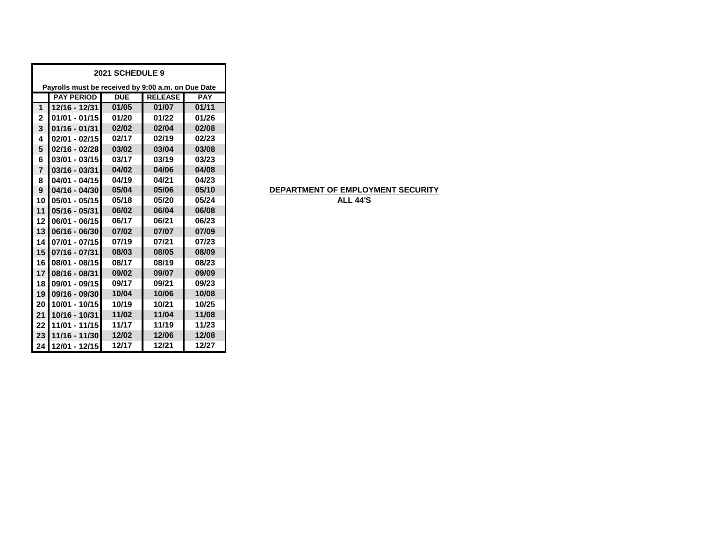| 2021 SCHEDULE 9 |                                                    |            |                |            |  |  |  |
|-----------------|----------------------------------------------------|------------|----------------|------------|--|--|--|
|                 | Payrolls must be received by 9:00 a.m. on Due Date |            |                |            |  |  |  |
|                 | <b>PAY PERIOD</b>                                  | <b>DUE</b> | <b>RELEASE</b> | <b>PAY</b> |  |  |  |
| 1               | 12/16 - 12/31                                      | 01/05      | 01/07          | 01/11      |  |  |  |
| $\overline{2}$  | $01/01 - 01/15$                                    | 01/20      | 01/22          | 01/26      |  |  |  |
| 3               | $01/16 - 01/31$                                    | 02/02      | 02/04          | 02/08      |  |  |  |
| 4               | $02/01 - 02/15$                                    | 02/17      | 02/19          | 02/23      |  |  |  |
| 5               | $02/16 - 02/28$                                    | 03/02      | 03/04          | 03/08      |  |  |  |
| 6               | $03/01 - 03/15$                                    | 03/17      | 03/19          | 03/23      |  |  |  |
| $\overline{7}$  | $03/16 - 03/31$                                    | 04/02      | 04/06          | 04/08      |  |  |  |
| 8               | $04/01 - 04/15$                                    | 04/19      | 04/21          | 04/23      |  |  |  |
| 9               | $04/16 - 04/30$                                    | 05/04      | 05/06          | 05/10      |  |  |  |
| 10              | 05/01 - 05/15                                      | 05/18      | 05/20          | 05/24      |  |  |  |
| 11              | 05/16 - 05/31                                      | 06/02      | 06/04          | 06/08      |  |  |  |
| 12              | 06/01 - 06/15                                      | 06/17      | 06/21          | 06/23      |  |  |  |
| 13              | 06/16 - 06/30                                      | 07/02      | 07/07          | 07/09      |  |  |  |
| 14              | 07/01 - 07/15                                      | 07/19      | 07/21          | 07/23      |  |  |  |
| 15              | 07/16 - 07/31                                      | 08/03      | 08/05          | 08/09      |  |  |  |
| 16              | $08/01 - 08/15$                                    | 08/17      | 08/19          | 08/23      |  |  |  |
| 17              | 08/16 - 08/31                                      | 09/02      | 09/07          | 09/09      |  |  |  |
| 18              | 09/01 - 09/15                                      | 09/17      | 09/21          | 09/23      |  |  |  |
| 19              | 09/16 - 09/30                                      | 10/04      | 10/06          | 10/08      |  |  |  |
| 20              | 10/01 - 10/15                                      | 10/19      | 10/21          | 10/25      |  |  |  |
| 21              | 10/16 - 10/31                                      | 11/02      | 11/04          | 11/08      |  |  |  |
| 22              | 11/01 - 11/15                                      | 11/17      | 11/19          | 11/23      |  |  |  |
| 23              | 11/16 - 11/30                                      | 12/02      | 12/06          | 12/08      |  |  |  |
| 24              | 12/01 - 12/15                                      | 12/17      | 12/21          | 12/27      |  |  |  |

# **DEPARTMENT OF EMPLOYMENT SECURITY**

**ALL 44'S**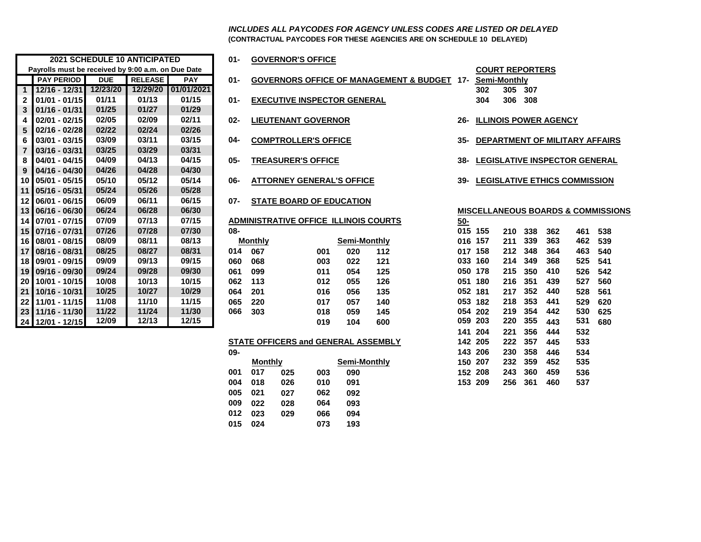**(CONTRACTUAL PAYCODES FOR THESE AGENCIES ARE ON SCHEDULE 10 DELAYED)** *INCLUDES ALL PAYCODES FOR AGENCY UNLESS CODES ARE LISTED OR DELAYED*

|                 |                                                    | <b>2021 SCHEDULE 10 ANTICIPATED</b> |                |            | 01-    |                | <b>GOVERNOR'S OFFICE</b>                     |     |                     |                                                    |            |                        |     |     |                              |                                           |     |
|-----------------|----------------------------------------------------|-------------------------------------|----------------|------------|--------|----------------|----------------------------------------------|-----|---------------------|----------------------------------------------------|------------|------------------------|-----|-----|------------------------------|-------------------------------------------|-----|
|                 | Payrolls must be received by 9:00 a.m. on Due Date |                                     |                |            |        |                |                                              |     |                     |                                                    |            | <b>COURT REPORTERS</b> |     |     |                              |                                           |     |
|                 | <b>PAY PERIOD</b>                                  | <b>DUE</b>                          | <b>RELEASE</b> | <b>PAY</b> | $01 -$ |                |                                              |     |                     | <b>GOVERNORS OFFICE OF MANAGEMENT &amp; BUDGET</b> | 17-        | <b>Semi-Monthly</b>    |     |     |                              |                                           |     |
| $\mathbf{1}$    | 12/16 - 12/31                                      | 12/23/20                            | 12/29/20       | 01/01/2021 |        |                |                                              |     |                     |                                                    |            | 302                    | 305 | 307 |                              |                                           |     |
| $\mathbf{2}$    | $01/01 - 01/15$                                    | 01/11                               | 01/13          | 01/15      | $01 -$ |                | <b>EXECUTIVE INSPECTOR GENERAL</b>           |     |                     |                                                    |            | 304                    | 306 | 308 |                              |                                           |     |
| 3               | 01/16 - 01/31                                      | 01/25                               | 01/27          | 01/29      |        |                |                                              |     |                     |                                                    |            |                        |     |     |                              |                                           |     |
| 4               | $02/01 - 02/15$                                    | 02/05                               | 02/09          | 02/11      | $02 -$ |                | <b>LIEUTENANT GOVERNOR</b>                   |     |                     |                                                    | $26-$      |                        |     |     | <b>ILLINOIS POWER AGENCY</b> |                                           |     |
| 5               | $02/16 - 02/28$                                    | 02/22                               | 02/24          | 02/26      |        |                |                                              |     |                     |                                                    |            |                        |     |     |                              |                                           |     |
| 6               | $03/01 - 03/15$                                    | 03/09                               | 03/11          | 03/15      | $04 -$ |                | <b>COMPTROLLER'S OFFICE</b>                  |     |                     |                                                    | 35-        |                        |     |     |                              | <b>DEPARTMENT OF MILITARY AFFAIL</b>      |     |
| $\overline{7}$  | 03/16 - 03/31                                      | 03/25                               | 03/29          | 03/31      |        |                |                                              |     |                     |                                                    |            |                        |     |     |                              |                                           |     |
| 8               | 04/01 - 04/15                                      | 04/09                               | 04/13          | 04/15      | $05 -$ |                | <b>TREASURER'S OFFICE</b>                    |     |                     |                                                    | 38-        |                        |     |     |                              | <b>LEGISLATIVE INSPECTOR GENERA</b>       |     |
| 9               | 04/16 - 04/30                                      | 04/26                               | 04/28          | 04/30      |        |                |                                              |     |                     |                                                    |            |                        |     |     |                              |                                           |     |
|                 | 10 05/01 - 05/15                                   | 05/10                               | 05/12          | 05/14      | 06-    |                | <b>ATTORNEY GENERAL'S OFFICE</b>             |     |                     |                                                    | 39-        |                        |     |     |                              | <b>LEGISLATIVE ETHICS COMMISSION</b>      |     |
|                 | 11 05/16 - 05/31                                   | 05/24                               | 05/26          | 05/28      |        |                |                                              |     |                     |                                                    |            |                        |     |     |                              |                                           |     |
|                 | 12 06/01 - 06/15                                   | 06/09                               | 06/11          | 06/15      | 07-    |                | <b>STATE BOARD OF EDUCATION</b>              |     |                     |                                                    |            |                        |     |     |                              |                                           |     |
|                 | 13 06/16 - 06/30                                   | 06/24                               | 06/28          | 06/30      |        |                |                                              |     |                     |                                                    |            |                        |     |     |                              | <b>MISCELLANEOUS BOARDS &amp; COMMISS</b> |     |
|                 | 14 07/01 - 07/15                                   | 07/09                               | 07/13          | 07/15      |        |                | <b>ADMINISTRATIVE OFFICE ILLINOIS COURTS</b> |     |                     |                                                    | <u>50-</u> |                        |     |     |                              |                                           |     |
|                 | 15 07/16 - 07/31                                   | 07/26                               | 07/28          | 07/30      | 08-    |                |                                              |     |                     |                                                    |            | 015 155                | 210 | 338 | 362                          | 461                                       | 538 |
|                 | 16 08/01 - 08/15                                   | 08/09                               | 08/11          | 08/13      |        | <b>Monthly</b> |                                              |     | <b>Semi-Monthly</b> |                                                    | 016 157    |                        | 211 | 339 | 363                          | 462                                       | 539 |
|                 | 17 08/16 - 08/31                                   | 08/25                               | 08/27          | 08/31      | 014    | 067            |                                              | 001 | 020                 | 112                                                |            | 017 158                | 212 | 348 | 364                          | 463                                       | 540 |
|                 | 18 09/01 - 09/15                                   | 09/09                               | 09/13          | 09/15      | 060    | 068            |                                              | 003 | 022                 | 121                                                |            | 033 160                | 214 | 349 | 368                          | 525                                       | 541 |
|                 | 19 09/16 - 09/30                                   | 09/24                               | 09/28          | 09/30      | 061    | 099            |                                              | 011 | 054                 | 125                                                |            | 050 178                | 215 | 350 | 410                          | 526                                       | 542 |
| 20 <sup>1</sup> | 10/01 - 10/15                                      | 10/08                               | 10/13          | 10/15      | 062    | 113            |                                              | 012 | 055                 | 126                                                |            | 051 180                | 216 | 351 | 439                          | 527                                       | 560 |
|                 | 21 10/16 - 10/31                                   | 10/25                               | 10/27          | 10/29      | 064    | 201            |                                              | 016 | 056                 | 135                                                | 052 181    |                        | 217 | 352 | 440                          | 528                                       | 561 |
| 22 <sub>1</sub> | 11/01 - 11/15                                      | 11/08                               | 11/10          | 11/15      | 065    | 220            |                                              | 017 | 057                 | 140                                                | 053        | 182                    | 218 | 353 | 441                          | 529                                       | 620 |
|                 | 23 11/16 - 11/30                                   | 11/22                               | 11/24          | 11/30      | 066    | 303            |                                              | 018 | 059                 | 145                                                |            | 054 202                | 219 | 354 | 442                          | 530                                       | 625 |
|                 | 24 12/01 - 12/15                                   | 12/09                               | 12/13          | 12/15      |        |                |                                              | 019 | 104                 | 600                                                | 059 203    |                        | 220 | 355 | 443                          | 531                                       | 680 |
|                 |                                                    |                                     |                |            |        |                |                                              |     |                     |                                                    |            |                        |     |     |                              |                                           |     |

| )1- |  | <b>GOVERNOR'S OFFICE</b> |
|-----|--|--------------------------|
|     |  |                          |

- **01-** GOVERNORS OFFICE OF MANAGEMENT & BUDGET 17-
- **01/01 01/15 01/11 01/13 01/15 01- EXECUTIVE INSPECTOR GENERAL 304 306 308**
- **02/01 02/15 02/05 02/09 02/11 02- LIEUTENANT GOVERNOR 26- ILLINOIS POWER AGENCY**
	-
- 
- 
- **06/01 06/15 06/09 06/11 06/15 07- STATE BOARD OF EDUCATION**
- 
- 

|   | <b>Monthly</b> |     | Semi-Monthly |     |
|---|----------------|-----|--------------|-----|
| 4 | 067            | 001 | 020          | 112 |
| 0 | 068            | 003 | 022          | 121 |
| 1 | 099            | 011 | 054          | 125 |
| 2 | 113            | 012 | 055          | 126 |
| 4 | 201            | 016 | 056          | 135 |
| 5 | 220            | 017 | 057          | 140 |
| 6 | 303            | 018 | 059          | 145 |
|   |                | 019 | 104          | 600 |
|   |                |     |              |     |

#### **STATE OFFICERS and GENERAL ASSEMBLY**

| UJ- |                |     |              |     | 14J ZUU |     | 200 JJO | 440 | IJJ4 |
|-----|----------------|-----|--------------|-----|---------|-----|---------|-----|------|
|     | <b>Monthly</b> |     | Semi-Monthly |     | 150 207 |     | 232 359 | 452 | 535  |
| 001 | 017            | 025 | 003          | 090 | 152 208 | 243 | - 360   | 459 | 536  |
| 004 | 018            | 026 | 010          | 091 | 153 209 |     | 256 361 | 460 | 537  |
| 005 | 021            | 027 | 062          | 092 |         |     |         |     |      |
| 009 | 022            | 028 | 064          | 093 |         |     |         |     |      |
| 012 | 023            | 029 | 066          | 094 |         |     |         |     |      |
| 015 | 024            |     | 073          | 193 |         |     |         |     |      |
|     |                |     |              |     |         |     |         |     |      |

| <b>COURT REPORTERS</b> |         |  |  |  |  |  |  |
|------------------------|---------|--|--|--|--|--|--|
| Semi-Monthly           |         |  |  |  |  |  |  |
| 302                    | 305 307 |  |  |  |  |  |  |
| 304                    | 306 308 |  |  |  |  |  |  |

- 
- **03/01 03/15 03/09 03/11 03/15 04- COMPTROLLER'S OFFICE 35- DEPARTMENT OF MILITARY AFFAIRS**
- **04/01 04/15 04/09 04/13 04/15 05- TREASURER'S OFFICE 38- LEGISLATIVE INSPECTOR GENERAL**
- **05/01 05/15 05/10 05/12 05/14 06- ATTORNEY GENERAL'S OFFICE 39- LEGISLATIVE ETHICS COMMISSION**

#### **06/16 - 06/30 06/24 06/28 06/30 MISCELLANEOUS BOARDS & COMMISSIONS**

|     |                |     |                                            |                     | ADMINISTRATIVE OFFICE ILLINOIS COURTS | <u>50-</u> |         |      |      |     |     |     |
|-----|----------------|-----|--------------------------------------------|---------------------|---------------------------------------|------------|---------|------|------|-----|-----|-----|
| 08- |                |     |                                            |                     |                                       |            | 015 155 | 210  | 338  | 362 | 461 | 538 |
|     | <b>Monthly</b> |     |                                            | Semi-Monthly        |                                       | 016        | 157     | 211  | 339  | 363 | 462 | 539 |
| 014 | 067            |     | 001                                        | 020                 | 112                                   |            | 017 158 | 212  | 348  | 364 | 463 | 540 |
| 060 | 068            |     | 003                                        | 022                 | 121                                   |            | 033 160 | 214  | 349  | 368 | 525 | 541 |
| 061 | 099            |     | 011                                        | 054                 | 125                                   | 050        | 178     | 215  | 350  | 410 | 526 | 542 |
| 062 | 113            |     | 012                                        | 055                 | 126                                   |            | 051 180 | 216  | 351  | 439 | 527 | 560 |
| 064 | 201            |     | 016                                        | 056                 | 135                                   |            | 052 181 | 217  | 352  | 440 | 528 | 561 |
| 065 | 220            |     | 017                                        | 057                 | 140                                   |            | 053 182 | 218  | 353  | 441 | 529 | 620 |
| 066 | 303            |     | 018                                        | 059                 | 145                                   |            | 054 202 | 219  | 354  | 442 | 530 | 625 |
|     |                |     | 019                                        | 104                 | 600                                   |            | 059 203 | 220  | 355  | 443 | 531 | 680 |
|     |                |     |                                            |                     |                                       |            | 141 204 | 221  | 356  | 444 | 532 |     |
|     |                |     | <b>STATE OFFICERS and GENERAL ASSEMBLY</b> |                     |                                       |            | 142 205 | 222  | 357  | 445 | 533 |     |
| 09- |                |     |                                            |                     |                                       |            | 143 206 | 230  | 358  | 446 | 534 |     |
|     | <b>Monthly</b> |     |                                            | <b>Semi-Monthly</b> |                                       |            | 150 207 | 232  | 359  | 452 | 535 |     |
| 001 | 017            | 025 | 003                                        | 090                 |                                       |            | 152 208 | 243  | 360  | 459 | 536 |     |
| በበ4 | <b>018</b>     | በጋፍ | <b>010</b>                                 | ሰ01                 |                                       |            | 153 200 | 256. | -361 | 460 | 537 |     |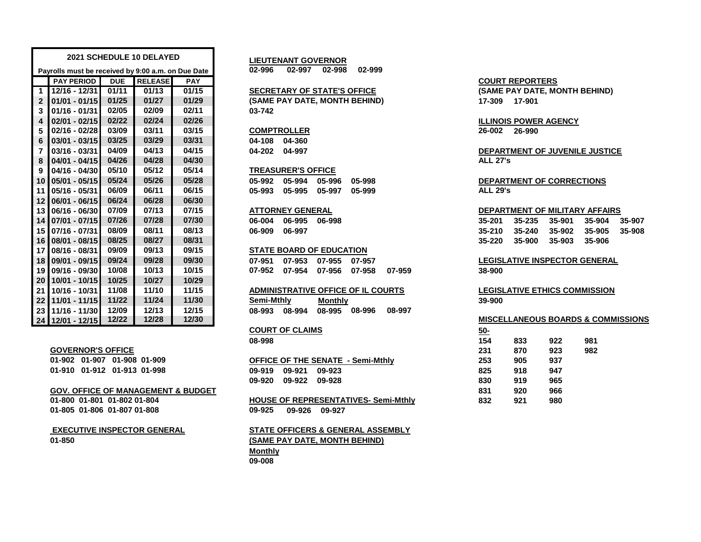|                         |                                                    |            | 2021 SCHEDULE 10 DELAYED |            | <b>LIEUTENANT GOVERNOR</b>                     |                                                    |
|-------------------------|----------------------------------------------------|------------|--------------------------|------------|------------------------------------------------|----------------------------------------------------|
|                         | Payrolls must be received by 9:00 a.m. on Due Date |            |                          |            | 02-996<br>02-997 02-998<br>02-999              |                                                    |
|                         | <b>PAY PERIOD</b>                                  | <b>DUE</b> | <b>RELEASE</b>           | <b>PAY</b> |                                                | <b>COURT REPORTERS</b>                             |
| $\mathbf{1}$            | 12/16 - 12/31                                      | 01/11      | 01/13                    | 01/15      | <b>SECRETARY OF STATE'S OFFICE</b>             | (SAME PAY DATE, MONTH BEHIND)                      |
| $\overline{2}$          | $01/01 - 01/15$                                    | 01/25      | 01/27                    | 01/29      | (SAME PAY DATE, MONTH BEHIND)                  | 17-309 17-901                                      |
| 3                       | $01/16 - 01/31$                                    | 02/05      | 02/09                    | 02/11      | 03-742                                         |                                                    |
| $\overline{\mathbf{4}}$ | $02/01 - 02/15$                                    | 02/22      | 02/24                    | 02/26      |                                                | <b>ILLINOIS POWER AGENCY</b>                       |
| 5                       | $02/16 - 02/28$                                    | 03/09      | 03/11                    | 03/15      | <b>COMPTROLLER</b>                             | 26-002<br>26-990                                   |
| 6                       | $03/01 - 03/15$                                    | 03/25      | 03/29                    | 03/31      | 04-108<br>04-360                               |                                                    |
| 7                       | 03/16 - 03/31                                      | 04/09      | 04/13                    | 04/15      | 04-202 04-997                                  | DEPARTMENT OF JUVENILE JUSTICE                     |
| 8                       | 04/01 - 04/15                                      | 04/26      | 04/28                    | 04/30      |                                                | <b>ALL 27's</b>                                    |
| 9                       | 04/16 - 04/30                                      | 05/10      | 05/12                    | 05/14      | <b>TREASURER'S OFFICE</b>                      |                                                    |
|                         | 10 05/01 - 05/15                                   | 05/24      | 05/26                    | 05/28      | 05-994<br>05-996<br>05-992<br>05-998           | <b>DEPARTMENT OF CORRECTIONS</b>                   |
| 11                      | $105/16 - 05/31$                                   | 06/09      | 06/11                    | 06/15      | 05-995<br>05-993<br>05-997<br>05-999           | <b>ALL 29's</b>                                    |
|                         | 12 06/01 - 06/15                                   | 06/24      | 06/28                    | 06/30      |                                                |                                                    |
|                         | $13$ 06/16 - 06/30                                 | 07/09      | 07/13                    | 07/15      | <b>ATTORNEY GENERAL</b>                        | DEPARTMENT OF MILITARY AFFAIRS                     |
|                         | 14 07/01 - 07/15                                   | 07/26      | 07/28                    | 07/30      | 06-995<br>06-004<br>06-998                     | 35-235<br>35-901<br>35-907<br>35-201<br>35-904     |
|                         | 15 07/16 - 07/31                                   | 08/09      | 08/11                    | 08/13      | 06-997<br>06-909                               | 35-240<br>35-902<br>35-905<br>$35 - 210$<br>35-908 |
|                         | 16 08/01 - 08/15                                   | 08/25      | 08/27                    | 08/31      |                                                | 35-900<br>35-906<br>35-220<br>35-903               |
|                         | 17 08/16 - 08/31                                   | 09/09      | 09/13                    | 09/15      | <b>STATE BOARD OF EDUCATION</b>                |                                                    |
|                         | 18 09/01 - 09/15                                   | 09/24      | 09/28                    | 09/30      | 07-955<br>07-951<br>07-953<br>07-957           | <b>LEGISLATIVE INSPECTOR GENERAL</b>               |
|                         | 19 09/16 - 09/30                                   | 10/08      | 10/13                    | 10/15      | 07-952<br>07-954<br>07-956<br>07-958<br>07-959 | 38-900                                             |
|                         | 20 10/01 - 10/15                                   | 10/25      | 10/27                    | 10/29      |                                                |                                                    |
| 21                      | 10/16 - 10/31                                      | 11/08      | 11/10                    | 11/15      | ADMINISTRATIVE OFFICE OF IL COURTS             | <b>LEGISLATIVE ETHICS COMMISSION</b>               |
| 22                      | 11/01 - 11/15                                      | 11/22      | 11/24                    | 11/30      | Semi-Mthly<br><b>Monthly</b>                   | 39-900                                             |
|                         | 23 11/16 - 11/30                                   | 12/09      | 12/13                    | 12/15      | 08-994<br>08-995<br>08-996<br>08-997<br>08-993 |                                                    |
|                         | 24 12/01 - 12/15                                   | 12/22      | 12/28                    | 12/30      |                                                | <b>MISCELLANEOUS BOARDS &amp; COMMISSION</b>       |

### **GOVERNOR'S OFFICE**

| 01-902 01-907 01-908 01-909 |  |
|-----------------------------|--|
| 01-910 01-912 01-913 01-998 |  |

#### **GOV. OFFICE OF MANAGEMENT & BUDGET 831 920 966**

**01-800 01-801 01-802 01-804 01-805 01-806 01-807 01-808**

#### **01-850 EXECUTIVE INSPECTOR GENERAL**

# **SECRETARY OF STATE'S OFFICE**

#### **TREASURER'S OFFICE**

### **ATTORNEY GENERAL**

## **STATE BOARD OF EDUCATION**

# **COURT OF CLAIMS**

|                      | <b>OFFICE OF THE SENATE - Semi-Mthly</b> | 253 | 905 | 937 |
|----------------------|------------------------------------------|-----|-----|-----|
| 09-919 09-921 09-923 |                                          | 825 | 918 | 947 |
| 09-920 09-922 09-928 |                                          | 830 | 919 | 965 |

### **09-925 09-926 09-927 HOUSE OF REPRESENTATIVES- Semi-Mthly**

## **Monthly 09-008 STATE OFFICERS & GENERAL ASSEMBLY (SAME PAY DATE, MONTH BEHIND)**

# **4 02/01 - 02/15 02/22 02/24 02/26 ILLINOIS POWER AGENCY**

#### **13 06/16 - 06/30 07/09 07/13 07/15 DEPARTMENT OF MILITARY AFFAIRS**

| 35-201 35-235 35-901 35-904 35-907 |  |  |
|------------------------------------|--|--|
| 35-210 35-240 35-902 35-905 35-908 |  |  |
| 35-220 35-900 35-903 35-906        |  |  |

# **18 09/01 - 09/15 09/24 09/28 09/30 07-951 07-953 07-955 07-957 LEGISLATIVE INSPECTOR GENERAL**

### **24 12/01 - 12/15 12/22 12/28 12/30 MISCELLANEOUS BOARDS & COMMISSIONS**

| <b>COURT OF CLAIMS</b>                      | <u>50-</u> |     |     |     |
|---------------------------------------------|------------|-----|-----|-----|
| 08-998                                      | 154        | 833 | 922 | 981 |
|                                             | 231        | 870 | 923 | 982 |
| <b>OFFICE OF THE SENATE - Semi-Mthlv</b>    | 253        | 905 | 937 |     |
| 09-919<br>09-921<br>09-923                  | 825        | 918 | 947 |     |
| 09-920<br>09-922<br>09-928                  | 830        | 919 | 965 |     |
|                                             | 831        | 920 | 966 |     |
| <b>HOUSE OF REPRESENTATIVES- Semi-Mthly</b> | 832        | 921 | 980 |     |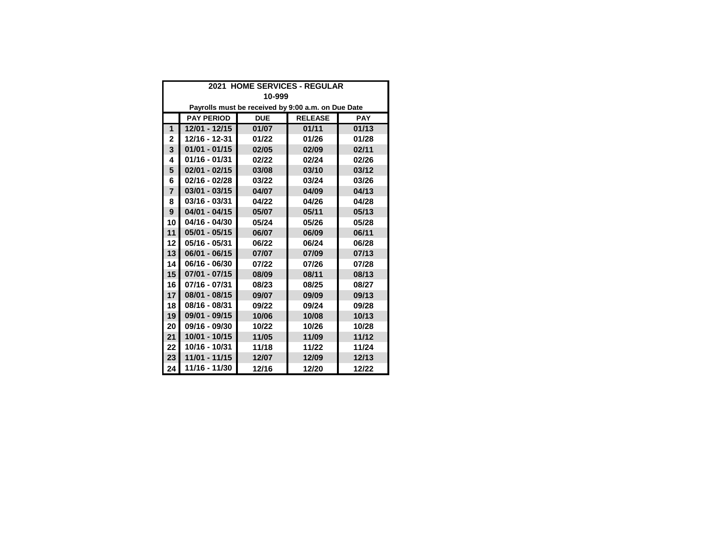|                | 2021 HOME SERVICES - REGULAR                                    |       |                                                    |       |  |  |  |  |  |
|----------------|-----------------------------------------------------------------|-------|----------------------------------------------------|-------|--|--|--|--|--|
|                | 10-999                                                          |       |                                                    |       |  |  |  |  |  |
|                |                                                                 |       | Payrolls must be received by 9:00 a.m. on Due Date |       |  |  |  |  |  |
|                | <b>PAY PERIOD</b><br><b>RELEASE</b><br><b>DUE</b><br><b>PAY</b> |       |                                                    |       |  |  |  |  |  |
| 1              | 12/01 - 12/15                                                   | 01/07 | 01/11                                              | 01/13 |  |  |  |  |  |
| 2              | 12/16 - 12-31                                                   | 01/22 | 01/26                                              | 01/28 |  |  |  |  |  |
| 3              | $01/01 - 01/15$                                                 | 02/05 | 02/09                                              | 02/11 |  |  |  |  |  |
| 4              | 01/16 - 01/31                                                   | 02/22 | 02/24                                              | 02/26 |  |  |  |  |  |
| 5              | $02/01 - 02/15$                                                 | 03/08 | 03/10                                              | 03/12 |  |  |  |  |  |
| 6              | 02/16 - 02/28                                                   | 03/22 | 03/24                                              | 03/26 |  |  |  |  |  |
| $\overline{7}$ | $03/01 - 03/15$                                                 | 04/07 | 04/09                                              | 04/13 |  |  |  |  |  |
| 8              | 03/16 - 03/31                                                   | 04/22 | 04/26                                              | 04/28 |  |  |  |  |  |
| 9              | $04/01 - 04/15$                                                 | 05/07 | 05/11                                              | 05/13 |  |  |  |  |  |
| 10             | 04/16 - 04/30                                                   | 05/24 | 05/26                                              | 05/28 |  |  |  |  |  |
| 11             | $05/01 - 05/15$                                                 | 06/07 | 06/09                                              | 06/11 |  |  |  |  |  |
| 12             | 05/16 - 05/31                                                   | 06/22 | 06/24                                              | 06/28 |  |  |  |  |  |
| 13             | $06/01 - 06/15$                                                 | 07/07 | 07/09                                              | 07/13 |  |  |  |  |  |
| 14             | 06/16 - 06/30                                                   | 07/22 | 07/26                                              | 07/28 |  |  |  |  |  |
| 15             | $07/01 - 07/15$                                                 | 08/09 | 08/11                                              | 08/13 |  |  |  |  |  |
| 16             | 07/16 - 07/31                                                   | 08/23 | 08/25                                              | 08/27 |  |  |  |  |  |
| 17             | 08/01 - 08/15                                                   | 09/07 | 09/09                                              | 09/13 |  |  |  |  |  |
| 18             | 08/16 - 08/31                                                   | 09/22 | 09/24                                              | 09/28 |  |  |  |  |  |
| 19             | 09/01 - 09/15                                                   | 10/06 | 10/08                                              | 10/13 |  |  |  |  |  |
| 20             | 09/16 - 09/30                                                   | 10/22 | 10/26                                              | 10/28 |  |  |  |  |  |
| 21             | 10/01 - 10/15                                                   | 11/05 | 11/09                                              | 11/12 |  |  |  |  |  |
| 22             | 10/16 - 10/31                                                   | 11/18 | 11/22                                              | 11/24 |  |  |  |  |  |
| 23             | 11/01 - 11/15                                                   | 12/07 | 12/09                                              | 12/13 |  |  |  |  |  |
| 24             | 11/16 - 11/30                                                   | 12/16 | 12/20                                              | 12/22 |  |  |  |  |  |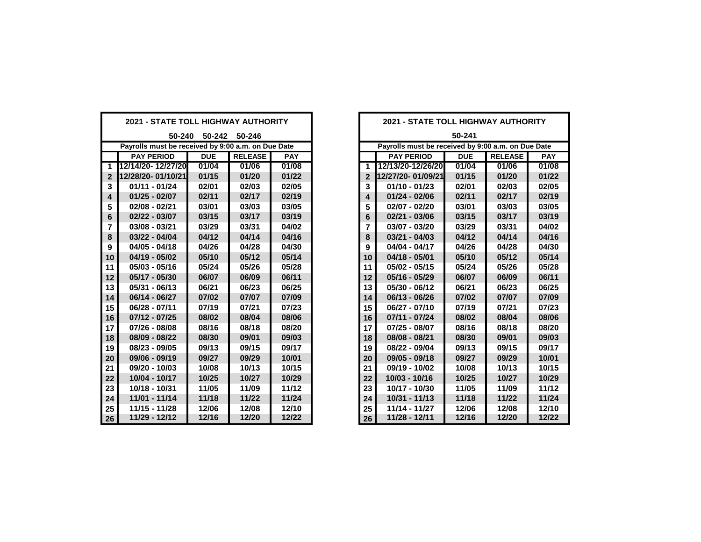| <b>2021 - STATE TOLL HIGHWAY AUTHORITY</b>         |                   |            |                | <b>2021 - STATE TOLL HIGHWAY AUTHORITY</b> |                |                                                    |            |                |            |  |
|----------------------------------------------------|-------------------|------------|----------------|--------------------------------------------|----------------|----------------------------------------------------|------------|----------------|------------|--|
| 50-240<br>50-242 50-246                            |                   |            |                |                                            |                | 50-241                                             |            |                |            |  |
| Payrolls must be received by 9:00 a.m. on Due Date |                   |            |                |                                            |                | Payrolls must be received by 9:00 a.m. on Due Date |            |                |            |  |
|                                                    | <b>PAY PERIOD</b> | <b>DUE</b> | <b>RELEASE</b> | <b>PAY</b>                                 |                | <b>PAY PERIOD</b>                                  | <b>DUE</b> | <b>RELEASE</b> | <b>PAY</b> |  |
| $\mathbf{1}$                                       | 12/14/20-12/27/20 | 01/04      | 01/06          | 01/08                                      | $\mathbf{1}$   | 12/13/20-12/26/20                                  | 01/04      | 01/06          | 01/08      |  |
| $\mathbf{2}$                                       | 12/28/20-01/10/21 | 01/15      | 01/20          | 01/22                                      | $\mathbf 2$    | 12/27/20-01/09/21                                  | 01/15      | 01/20          | 01/22      |  |
| 3                                                  | $01/11 - 01/24$   | 02/01      | 02/03          | 02/05                                      | 3              | $01/10 - 01/23$                                    | 02/01      | 02/03          | 02/05      |  |
| 4                                                  | $01/25 - 02/07$   | 02/11      | 02/17          | 02/19                                      | 4              | $01/24 - 02/06$                                    | 02/11      | 02/17          | 02/19      |  |
| 5                                                  | $02/08 - 02/21$   | 03/01      | 03/03          | 03/05                                      | 5              | 02/07 - 02/20                                      | 03/01      | 03/03          | 03/05      |  |
| 6                                                  | 02/22 - 03/07     | 03/15      | 03/17          | 03/19                                      | 6              | 02/21 - 03/06                                      | 03/15      | 03/17          | 03/19      |  |
| 7                                                  | $03/08 - 03/21$   | 03/29      | 03/31          | 04/02                                      | $\overline{7}$ | 03/07 - 03/20                                      | 03/29      | 03/31          | 04/02      |  |
| 8                                                  | 03/22 - 04/04     | 04/12      | 04/14          | 04/16                                      | 8              | $03/21 - 04/03$                                    | 04/12      | 04/14          | 04/16      |  |
| 9                                                  | $04/05 - 04/18$   | 04/26      | 04/28          | 04/30                                      | 9              | 04/04 - 04/17                                      | 04/26      | 04/28          | 04/30      |  |
| 10                                                 | 04/19 - 05/02     | 05/10      | 05/12          | 05/14                                      | 10             | $04/18 - 05/01$                                    | 05/10      | 05/12          | 05/14      |  |
| 11                                                 | $05/03 - 05/16$   | 05/24      | 05/26          | 05/28                                      | 11             | 05/02 - 05/15                                      | 05/24      | 05/26          | 05/28      |  |
| 12                                                 | 05/17 - 05/30     | 06/07      | 06/09          | 06/11                                      | 12             | $05/16 - 05/29$                                    | 06/07      | 06/09          | 06/11      |  |
| 13                                                 | $05/31 - 06/13$   | 06/21      | 06/23          | 06/25                                      | 13             | 05/30 - 06/12                                      | 06/21      | 06/23          | 06/25      |  |
| 14                                                 | 06/14 - 06/27     | 07/02      | 07/07          | 07/09                                      | 14             | 06/13 - 06/26                                      | 07/02      | 07/07          | 07/09      |  |
| 15                                                 | 06/28 - 07/11     | 07/19      | 07/21          | 07/23                                      | 15             | 06/27 - 07/10                                      | 07/19      | 07/21          | 07/23      |  |
| 16                                                 | 07/12 - 07/25     | 08/02      | 08/04          | 08/06                                      | 16             | 07/11 - 07/24                                      | 08/02      | 08/04          | 08/06      |  |
| 17                                                 | 07/26 - 08/08     | 08/16      | 08/18          | 08/20                                      | 17             | 07/25 - 08/07                                      | 08/16      | 08/18          | 08/20      |  |
| 18                                                 | 08/09 - 08/22     | 08/30      | 09/01          | 09/03                                      | 18             | 08/08 - 08/21                                      | 08/30      | 09/01          | 09/03      |  |
| 19                                                 | 08/23 - 09/05     | 09/13      | 09/15          | 09/17                                      | 19             | 08/22 - 09/04                                      | 09/13      | 09/15          | 09/17      |  |
| 20                                                 | 09/06 - 09/19     | 09/27      | 09/29          | 10/01                                      | 20             | 09/05 - 09/18                                      | 09/27      | 09/29          | 10/01      |  |
| 21                                                 | 09/20 - 10/03     | 10/08      | 10/13          | 10/15                                      | 21             | 09/19 - 10/02                                      | 10/08      | 10/13          | 10/15      |  |
| 22                                                 | 10/04 - 10/17     | 10/25      | 10/27          | 10/29                                      | 22             | 10/03 - 10/16                                      | 10/25      | 10/27          | 10/29      |  |
| 23                                                 | 10/18 - 10/31     | 11/05      | 11/09          | 11/12                                      | 23             | 10/17 - 10/30                                      | 11/05      | 11/09          | 11/12      |  |
| 24                                                 | $11/01 - 11/14$   | 11/18      | 11/22          | 11/24                                      | 24             | 10/31 - 11/13                                      | 11/18      | 11/22          | 11/24      |  |
| 25                                                 | 11/15 - 11/28     | 12/06      | 12/08          | 12/10                                      | 25             | 11/14 - 11/27                                      | 12/06      | 12/08          | 12/10      |  |
| 26                                                 | 11/29 - 12/12     | 12/16      | 12/20          | 12/22                                      | 26             | 11/28 - 12/11                                      | 12/16      | 12/20          | 12/22      |  |

| <b>021 - STATE TOLL HIGHWAY AUTHORITY</b>       |            |                |            | <b>2021 - STATE TOLL HIGHWAY AUTHORITY</b><br>50-241<br>Payrolls must be received by 9:00 a.m. on Due Date<br><b>PAY PERIOD</b><br><b>DUE</b><br><b>RELEASE</b><br><b>PAY</b> |                   |       |       |       |  |
|-------------------------------------------------|------------|----------------|------------|-------------------------------------------------------------------------------------------------------------------------------------------------------------------------------|-------------------|-------|-------|-------|--|
| 50-240 50-242 50-246                            |            |                |            |                                                                                                                                                                               |                   |       |       |       |  |
| rolls must be received by 9:00 a.m. on Due Date |            |                |            |                                                                                                                                                                               |                   |       |       |       |  |
| <b>PAY PERIOD</b>                               | <b>DUE</b> | <b>RELEASE</b> | <b>PAY</b> |                                                                                                                                                                               |                   |       |       |       |  |
| 14/20-12/27/20                                  | 01/04      | 01/06          | 01/08      | 1                                                                                                                                                                             | 12/13/20-12/26/20 | 01/04 | 01/06 | 01/08 |  |
| 28/20-01/10/21                                  | 01/15      | 01/20          | 01/22      | $\overline{2}$                                                                                                                                                                | 12/27/20-01/09/21 | 01/15 | 01/20 | 01/22 |  |
| 01/11 - 01/24                                   | 02/01      | 02/03          | 02/05      | 3                                                                                                                                                                             | $01/10 - 01/23$   | 02/01 | 02/03 | 02/05 |  |
| 01/25 - 02/07                                   | 02/11      | 02/17          | 02/19      | 4                                                                                                                                                                             | $01/24 - 02/06$   | 02/11 | 02/17 | 02/19 |  |
| 02/08 - 02/21                                   | 03/01      | 03/03          | 03/05      | 5                                                                                                                                                                             | 02/07 - 02/20     | 03/01 | 03/03 | 03/05 |  |
| 02/22 - 03/07                                   | 03/15      | 03/17          | 03/19      | 6                                                                                                                                                                             | $02/21 - 03/06$   | 03/15 | 03/17 | 03/19 |  |
| 03/08 - 03/21                                   | 03/29      | 03/31          | 04/02      | 7                                                                                                                                                                             | 03/07 - 03/20     | 03/29 | 03/31 | 04/02 |  |
| 03/22 - 04/04                                   | 04/12      | 04/14          | 04/16      | 8                                                                                                                                                                             | $03/21 - 04/03$   | 04/12 | 04/14 | 04/16 |  |
| 04/05 - 04/18                                   | 04/26      | 04/28          | 04/30      | 9                                                                                                                                                                             | 04/04 - 04/17     | 04/26 | 04/28 | 04/30 |  |
| 04/19 - 05/02                                   | 05/10      | 05/12          | 05/14      | 10                                                                                                                                                                            | $04/18 - 05/01$   | 05/10 | 05/12 | 05/14 |  |
| 05/03 - 05/16                                   | 05/24      | 05/26          | 05/28      | 11                                                                                                                                                                            | $05/02 - 05/15$   | 05/24 | 05/26 | 05/28 |  |
| 05/17 - 05/30                                   | 06/07      | 06/09          | 06/11      | 12 <sup>2</sup>                                                                                                                                                               | $05/16 - 05/29$   | 06/07 | 06/09 | 06/11 |  |
| 05/31 - 06/13                                   | 06/21      | 06/23          | 06/25      | 13                                                                                                                                                                            | 05/30 - 06/12     | 06/21 | 06/23 | 06/25 |  |
| 06/14 - 06/27                                   | 07/02      | 07/07          | 07/09      | 14                                                                                                                                                                            | 06/13 - 06/26     | 07/02 | 07/07 | 07/09 |  |
| 06/28 - 07/11                                   | 07/19      | 07/21          | 07/23      | 15                                                                                                                                                                            | 06/27 - 07/10     | 07/19 | 07/21 | 07/23 |  |
| 07/12 - 07/25                                   | 08/02      | 08/04          | 08/06      | 16                                                                                                                                                                            | $07/11 - 07/24$   | 08/02 | 08/04 | 08/06 |  |
| 07/26 - 08/08                                   | 08/16      | 08/18          | 08/20      | 17                                                                                                                                                                            | 07/25 - 08/07     | 08/16 | 08/18 | 08/20 |  |
| 08/09 - 08/22                                   | 08/30      | 09/01          | 09/03      | 18                                                                                                                                                                            | 08/08 - 08/21     | 08/30 | 09/01 | 09/03 |  |
| 08/23 - 09/05                                   | 09/13      | 09/15          | 09/17      | 19                                                                                                                                                                            | 08/22 - 09/04     | 09/13 | 09/15 | 09/17 |  |
| 09/06 - 09/19                                   | 09/27      | 09/29          | 10/01      | 20                                                                                                                                                                            | 09/05 - 09/18     | 09/27 | 09/29 | 10/01 |  |
| 09/20 - 10/03                                   | 10/08      | 10/13          | 10/15      | 21                                                                                                                                                                            | 09/19 - 10/02     | 10/08 | 10/13 | 10/15 |  |
| 10/04 - 10/17                                   | 10/25      | 10/27          | 10/29      | 22                                                                                                                                                                            | 10/03 - 10/16     | 10/25 | 10/27 | 10/29 |  |
| 10/18 - 10/31                                   | 11/05      | 11/09          | 11/12      | 23                                                                                                                                                                            | 10/17 - 10/30     | 11/05 | 11/09 | 11/12 |  |
| 11/01 - 11/14                                   | 11/18      | 11/22          | 11/24      | 24                                                                                                                                                                            | 10/31 - 11/13     | 11/18 | 11/22 | 11/24 |  |
| 11/15 - 11/28                                   | 12/06      | 12/08          | 12/10      | 25                                                                                                                                                                            | 11/14 - 11/27     | 12/06 | 12/08 | 12/10 |  |
| 11/29 - 12/12                                   | 12/16      | 12/20          | 12/22      | 26                                                                                                                                                                            | 11/28 - 12/11     | 12/16 | 12/20 | 12/22 |  |